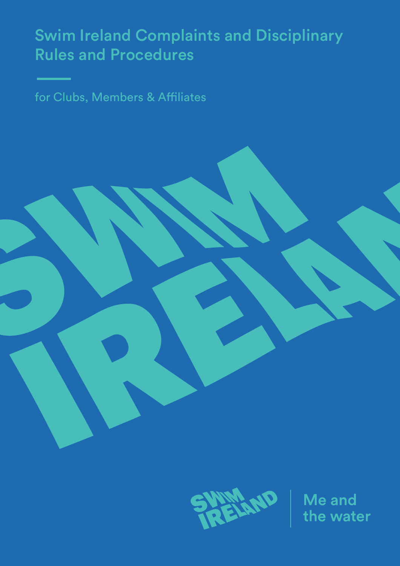# Swim Ireland Complaints and Disciplinary Rules and Procedures

for Clubs, Members & Affiliates



Me and the water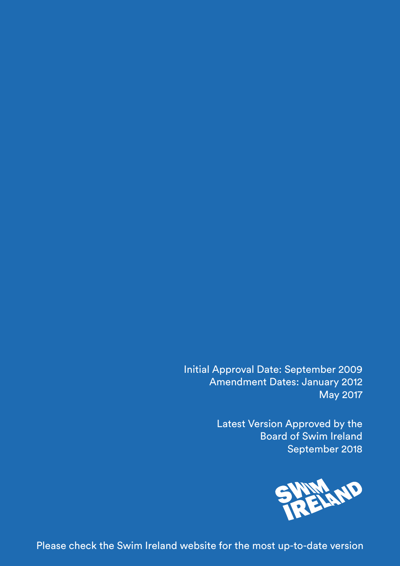Initial Approval Date: September 2009 Amendment Dates: January 2012 May 2017

> Latest Version Approved by the Board of Swim Ireland September 2018



Please check the Swim Ireland website for the most up-to-date version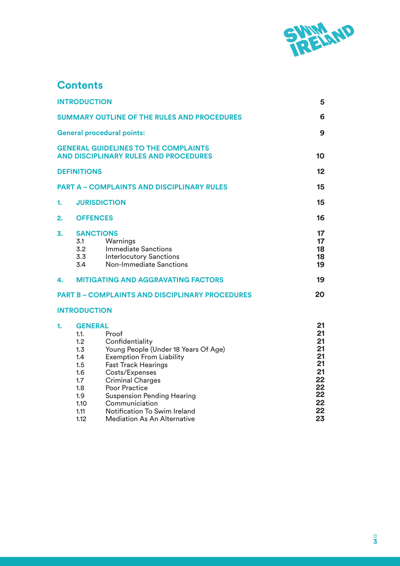

# **Contents**

|    | <b>INTRODUCTION</b>                                                                                    |                                                                                                                                                                                                                                                                                                                                            | 5                                                                          |
|----|--------------------------------------------------------------------------------------------------------|--------------------------------------------------------------------------------------------------------------------------------------------------------------------------------------------------------------------------------------------------------------------------------------------------------------------------------------------|----------------------------------------------------------------------------|
|    |                                                                                                        | <b>SUMMARY OUTLINE OF THE RULES AND PROCEDURES</b>                                                                                                                                                                                                                                                                                         | 6                                                                          |
|    |                                                                                                        | <b>General procedural points:</b>                                                                                                                                                                                                                                                                                                          | 9                                                                          |
|    |                                                                                                        | <b>GENERAL GUIDELINES TO THE COMPLAINTS</b><br><b>AND DISCIPLINARY RULES AND PROCEDURES</b>                                                                                                                                                                                                                                                | 10                                                                         |
|    | <b>DEFINITIONS</b>                                                                                     |                                                                                                                                                                                                                                                                                                                                            | 12 <sub>2</sub>                                                            |
|    |                                                                                                        | <b>PART A - COMPLAINTS AND DISCIPLINARY RULES</b>                                                                                                                                                                                                                                                                                          | 15                                                                         |
| 1. | <b>JURISDICTION</b>                                                                                    |                                                                                                                                                                                                                                                                                                                                            | 15                                                                         |
| 2. | <b>OFFENCES</b>                                                                                        |                                                                                                                                                                                                                                                                                                                                            | 16                                                                         |
| 3. | <b>SANCTIONS</b><br>3.1<br>3.2<br>3.3<br>3.4                                                           | Warnings<br><b>Immediate Sanctions</b><br><b>Interlocutory Sanctions</b><br><b>Non-Immediate Sanctions</b>                                                                                                                                                                                                                                 | 17<br>17<br>18<br>18<br>19                                                 |
| 4. |                                                                                                        | <b>MITIGATING AND AGGRAVATING FACTORS</b>                                                                                                                                                                                                                                                                                                  | 19                                                                         |
|    |                                                                                                        | <b>PART B - COMPLAINTS AND DISCIPLINARY PROCEDURES</b>                                                                                                                                                                                                                                                                                     | 20                                                                         |
|    | <b>INTRODUCTION</b>                                                                                    |                                                                                                                                                                                                                                                                                                                                            |                                                                            |
| 1. | <b>GENERAL</b><br>1.1.<br>1.2<br>1.3<br>1.4<br>1.5<br>1.6<br>1.7<br>1.8<br>1.9<br>1.10<br>1.11<br>1.12 | Proof<br>Confidentiality<br>Young People (Under 18 Years Of Age)<br><b>Exemption From Liability</b><br><b>Fast Track Hearings</b><br>Costs/Expenses<br><b>Criminal Charges</b><br><b>Poor Practice</b><br><b>Suspension Pending Hearing</b><br>Communiciation<br><b>Notification To Swim Ireland</b><br><b>Mediation As An Alternative</b> | 21<br>21<br>21<br>21<br>21<br>21<br>21<br>22<br>22<br>22<br>22<br>22<br>23 |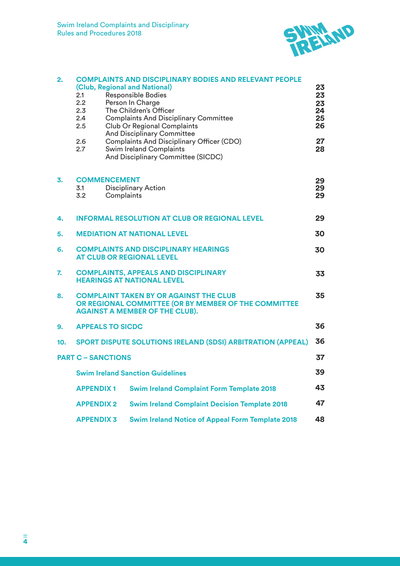

| 2.  | 2.1<br>2.2<br>2.3<br>2.4<br>2.5                                                                                                                      |            | <b>COMPLAINTS AND DISCIPLINARY BODIES AND RELEVANT PEOPLE</b><br>(Club, Regional and National)<br><b>Responsible Bodies</b><br>Person In Charge<br>The Children's Officer<br><b>Complaints And Disciplinary Committee</b><br><b>Club Or Regional Complaints</b><br><b>And Disciplinary Committee</b> | 23<br>23<br>23<br>24<br>25<br>26 |  |
|-----|------------------------------------------------------------------------------------------------------------------------------------------------------|------------|------------------------------------------------------------------------------------------------------------------------------------------------------------------------------------------------------------------------------------------------------------------------------------------------------|----------------------------------|--|
|     | 2.6<br>2.7                                                                                                                                           |            | <b>Complaints And Disciplinary Officer (CDO)</b><br><b>Swim Ireland Complaints</b><br>And Disciplinary Committee (SICDC)                                                                                                                                                                             | 27<br>28                         |  |
| 3.  | <b>COMMENCEMENT</b><br>3.1<br>3.2                                                                                                                    | Complaints | <b>Disciplinary Action</b>                                                                                                                                                                                                                                                                           | 29<br>29<br>29                   |  |
| 4.  |                                                                                                                                                      |            | <b>INFORMAL RESOLUTION AT CLUB OR REGIONAL LEVEL</b>                                                                                                                                                                                                                                                 | 29                               |  |
| 5.  | 30<br><b>MEDIATION AT NATIONAL LEVEL</b>                                                                                                             |            |                                                                                                                                                                                                                                                                                                      |                                  |  |
| 6.  | <b>COMPLAINTS AND DISCIPLINARY HEARINGS</b><br>30<br><b>AT CLUB OR REGIONAL LEVEL</b>                                                                |            |                                                                                                                                                                                                                                                                                                      |                                  |  |
| 7.  | <b>COMPLAINTS, APPEALS AND DISCIPLINARY</b><br><b>HEARINGS AT NATIONAL LEVEL</b>                                                                     |            |                                                                                                                                                                                                                                                                                                      | 33                               |  |
| 8.  | 35<br><b>COMPLAINT TAKEN BY OR AGAINST THE CLUB</b><br>OR REGIONAL COMMITTEE (OR BY MEMBER OF THE COMMITTEE<br><b>AGAINST A MEMBER OF THE CLUB).</b> |            |                                                                                                                                                                                                                                                                                                      |                                  |  |
| 9.  | <b>APPEALS TO SICDC</b>                                                                                                                              |            |                                                                                                                                                                                                                                                                                                      | 36                               |  |
| 10. | 36<br><b>SPORT DISPUTE SOLUTIONS IRELAND (SDSI) ARBITRATION (APPEAL)</b>                                                                             |            |                                                                                                                                                                                                                                                                                                      |                                  |  |
|     | <b>PART C – SANCTIONS</b>                                                                                                                            |            |                                                                                                                                                                                                                                                                                                      | 37                               |  |
|     |                                                                                                                                                      |            | <b>Swim Ireland Sanction Guidelines</b>                                                                                                                                                                                                                                                              | 39                               |  |
|     | <b>APPENDIX1</b>                                                                                                                                     |            | <b>Swim Ireland Complaint Form Template 2018</b>                                                                                                                                                                                                                                                     | 43                               |  |
|     | <b>APPENDIX 2</b>                                                                                                                                    |            | <b>Swim Ireland Complaint Decision Template 2018</b>                                                                                                                                                                                                                                                 | 47                               |  |
|     | <b>APPENDIX 3</b>                                                                                                                                    |            | <b>Swim Ireland Notice of Appeal Form Template 2018</b>                                                                                                                                                                                                                                              | 48                               |  |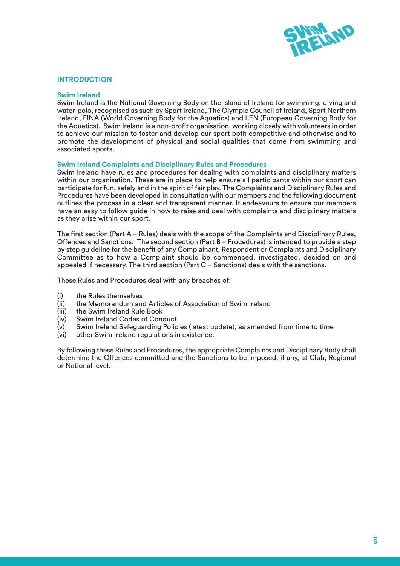

#### **INTRODUCTION**

#### **Swim Ireland**

Swim Ireland is the National Governing Body on the island of Ireland for swimming, diving and water-polo, recognised as such by Sport Ireland, The Olympic Council of Ireland, Sport Northern Ireland, FINA (World Governing Body for the Aquatics) and LEN (European Governing Body for the Aquatics). Swim Ireland is a non-profit organisation, working closely with volunteers in order to achieve our mission to foster and develop our sport both competitive and otherwise and to promote the development of physical and social qualities that come from swimming and associated sports.

#### **Swim Ireland Complaints and Disciplinary Rules and Procedures**

Swim Ireland have rules and procedures for dealing with complaints and disciplinary matters within our organisation. These are in place to help ensure all participants within our sport can participate for fun, safely and in the spirit of fair play. The Complaints and Disciplinary Rules and Procedures have been developed in consultation with our members and the following document outlines the process in a clear and transparent manner. It endeavours to ensure our members have an easy to follow guide in how to raise and deal with complaints and disciplinary matters as they arise within our sport.

The first section (Part A – Rules) deals with the scope of the Complaints and Disciplinary Rules, Offences and Sanctions. The second section (Part B – Procedures) is intended to provide a step by step guideline for the benefit of any Complainant, Respondent or Complaints and Disciplinary Committee as to how a Complaint should be commenced, investigated, decided on and appealed if necessary. The third section (Part C – Sanctions) deals with the sanctions.

These Rules and Procedures deal with any breaches of:

- (i) the Rules themselves
- (ii) the Memorandum and Articles of Association of Swim Ireland
- (iii) the Swim Ireland Rule Book
- (iv) Swim Ireland Codes of Conduct
- Swim Ireland Safeguarding Policies (latest update), as amended from time to time
- (vi) other Swim Ireland regulations in existence.

By following these Rules and Procedures, the appropriate Complaints and Disciplinary Body shall determine the Offences committed and the Sanctions to be imposed, if any, at Club, Regional or National level.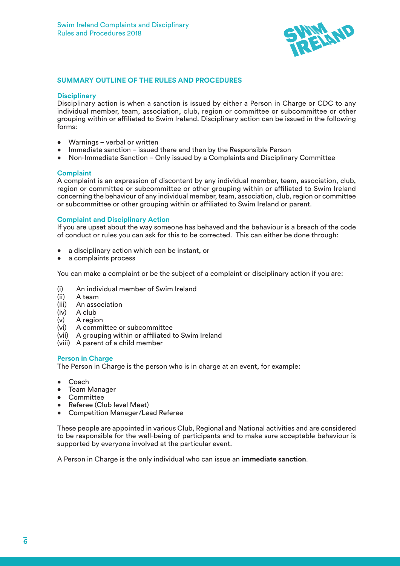

#### **SUMMARY OUTLINE OF THE RULES AND PROCEDURES**

#### **Disciplinary**

Disciplinary action is when a sanction is issued by either a Person in Charge or CDC to any individual member, team, association, club, region or committee or subcommittee or other grouping within or affiliated to Swim Ireland. Disciplinary action can be issued in the following forms:

- Warnings verbal or written
- Immediate sanction issued there and then by the Responsible Person
- Non-Immediate Sanction Only issued by a Complaints and Disciplinary Committee

#### **Complaint**

A complaint is an expression of discontent by any individual member, team, association, club, region or committee or subcommittee or other grouping within or affiliated to Swim Ireland concerning the behaviour of any individual member, team, association, club, region or committee or subcommittee or other grouping within or affiliated to Swim Ireland or parent.

#### **Complaint and Disciplinary Action**

If you are upset about the way someone has behaved and the behaviour is a breach of the code of conduct or rules you can ask for this to be corrected. This can either be done through:

- a disciplinary action which can be instant, or
- a complaints process

You can make a complaint or be the subject of a complaint or disciplinary action if you are:

- (i) An individual member of Swim Ireland
- (ii) A team
- (iii) An association
- A club
- (v) A region
- (vi) A committee or subcommittee
- (vii) A grouping within or affiliated to Swim Ireland
- (viii) A parent of a child member

#### **Person in Charge**

The Person in Charge is the person who is in charge at an event, for example:

- Coach
- Team Manager
- Committee
- Referee (Club level Meet)
- Competition Manager/Lead Referee

These people are appointed in various Club, Regional and National activities and are considered to be responsible for the well-being of participants and to make sure acceptable behaviour is supported by everyone involved at the particular event.

A Person in Charge is the only individual who can issue an **immediate sanction**.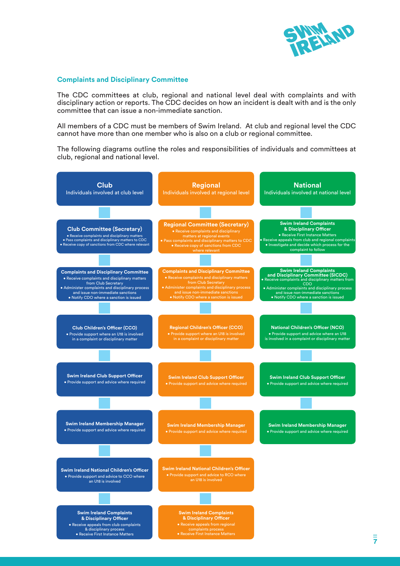

#### **Complaints and Disciplinary Committee**

The CDC committees at club, regional and national level deal with complaints and with disciplinary action or reports. The CDC decides on how an incident is dealt with and is the only committee that can issue a non-immediate sanction.

All members of a CDC must be members of Swim Ireland. At club and regional level the CDC cannot have more than one member who is also on a club or regional committee.

The following diagrams outline the roles and responsibilities of individuals and committees at club, regional and national level.

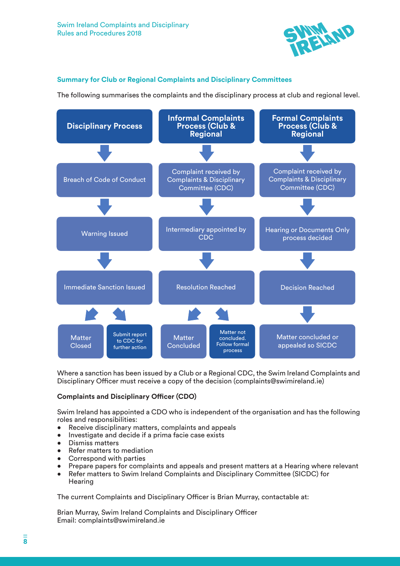

### **Summary for Club or Regional Complaints and Disciplinary Committees**

The following summarises the complaints and the disciplinary process at club and regional level.



Where a sanction has been issued by a Club or a Regional CDC, the Swim Ireland Complaints and Disciplinary Officer must receive a copy of the decision (complaints@swimireland.ie)

#### **Complaints and Disciplinary Officer (CDO)**

Swim Ireland has appointed a CDO who is independent of the organisation and has the following roles and responsibilities:

- Receive disciplinary matters, complaints and appeals
- Investigate and decide if a prima facie case exists
- Dismiss matters
- Refer matters to mediation
- Correspond with parties
- Prepare papers for complaints and appeals and present matters at a Hearing where relevant
- Refer matters to Swim Ireland Complaints and Disciplinary Committee (SICDC) for **Hearing**

The current Complaints and Disciplinary Officer is Brian Murray, contactable at:

Brian Murray, Swim Ireland Complaints and Disciplinary Officer Email: complaints@swimireland.ie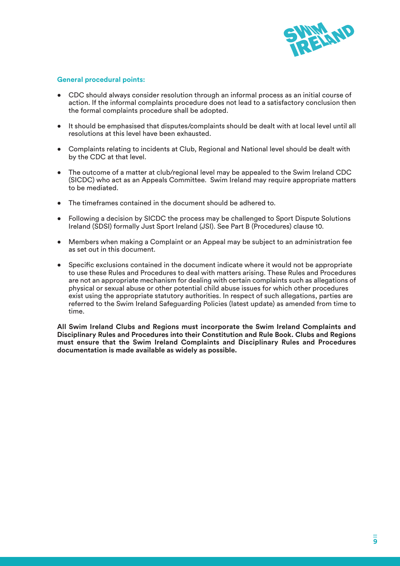

#### **General procedural points:**

- CDC should always consider resolution through an informal process as an initial course of action. If the informal complaints procedure does not lead to a satisfactory conclusion then the formal complaints procedure shall be adopted.
- It should be emphasised that disputes/complaints should be dealt with at local level until all resolutions at this level have been exhausted.
- Complaints relating to incidents at Club, Regional and National level should be dealt with by the CDC at that level.
- The outcome of a matter at club/regional level may be appealed to the Swim Ireland CDC (SICDC) who act as an Appeals Committee. Swim Ireland may require appropriate matters to be mediated.
- The timeframes contained in the document should be adhered to.
- Following a decision by SICDC the process may be challenged to Sport Dispute Solutions Ireland (SDSI) formally Just Sport Ireland (JSI). See Part B (Procedures) clause 10.
- Members when making a Complaint or an Appeal may be subject to an administration fee as set out in this document.
- Specific exclusions contained in the document indicate where it would not be appropriate to use these Rules and Procedures to deal with matters arising. These Rules and Procedures are not an appropriate mechanism for dealing with certain complaints such as allegations of physical or sexual abuse or other potential child abuse issues for which other procedures exist using the appropriate statutory authorities. In respect of such allegations, parties are referred to the Swim Ireland Safeguarding Policies (latest update) as amended from time to time.

**All Swim Ireland Clubs and Regions must incorporate the Swim Ireland Complaints and Disciplinary Rules and Procedures into their Constitution and Rule Book. Clubs and Regions must ensure that the Swim Ireland Complaints and Disciplinary Rules and Procedures documentation is made available as widely as possible.**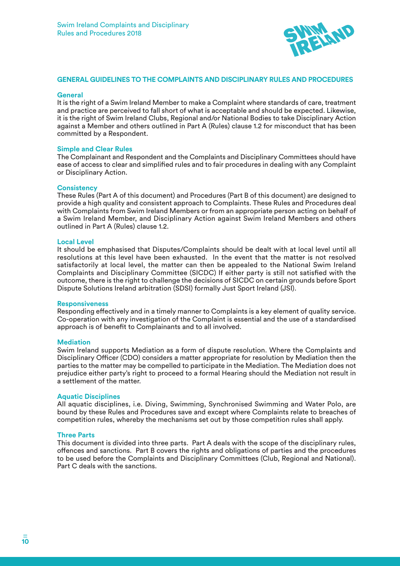

#### **GENERAL GUIDELINES TO THE COMPLAINTS AND DISCIPLINARY RULES AND PROCEDURES**

#### **General**

It is the right of a Swim Ireland Member to make a Complaint where standards of care, treatment and practice are perceived to fall short of what is acceptable and should be expected. Likewise, it is the right of Swim Ireland Clubs, Regional and/or National Bodies to take Disciplinary Action against a Member and others outlined in Part A (Rules) clause 1.2 for misconduct that has been committed by a Respondent.

#### **Simple and Clear Rules**

The Complainant and Respondent and the Complaints and Disciplinary Committees should have ease of access to clear and simplified rules and to fair procedures in dealing with any Complaint or Disciplinary Action.

#### **Consistency**

These Rules (Part A of this document) and Procedures (Part B of this document) are designed to provide a high quality and consistent approach to Complaints. These Rules and Procedures deal with Complaints from Swim Ireland Members or from an appropriate person acting on behalf of a Swim Ireland Member, and Disciplinary Action against Swim Ireland Members and others outlined in Part A (Rules) clause 1.2.

#### **Local Level**

It should be emphasised that Disputes/Complaints should be dealt with at local level until all resolutions at this level have been exhausted. In the event that the matter is not resolved satisfactorily at local level, the matter can then be appealed to the National Swim Ireland Complaints and Disciplinary Committee (SICDC) If either party is still not satisfied with the outcome, there is the right to challenge the decisions of SICDC on certain grounds before Sport Dispute Solutions Ireland arbitration (SDSI) formally Just Sport Ireland (JSI).

#### **Responsiveness**

Responding effectively and in a timely manner to Complaints is a key element of quality service. Co-operation with any investigation of the Complaint is essential and the use of a standardised approach is of benefit to Complainants and to all involved.

#### **Mediation**

Swim Ireland supports Mediation as a form of dispute resolution. Where the Complaints and Disciplinary Officer (CDO) considers a matter appropriate for resolution by Mediation then the parties to the matter may be compelled to participate in the Mediation. The Mediation does not prejudice either party's right to proceed to a formal Hearing should the Mediation not result in a settlement of the matter.

#### **Aquatic Disciplines**

All aquatic disciplines, i.e. Diving, Swimming, Synchronised Swimming and Water Polo, are bound by these Rules and Procedures save and except where Complaints relate to breaches of competition rules, whereby the mechanisms set out by those competition rules shall apply.

#### **Three Parts**

This document is divided into three parts. Part A deals with the scope of the disciplinary rules, offences and sanctions. Part B covers the rights and obligations of parties and the procedures to be used before the Complaints and Disciplinary Committees (Club, Regional and National). Part C deals with the sanctions.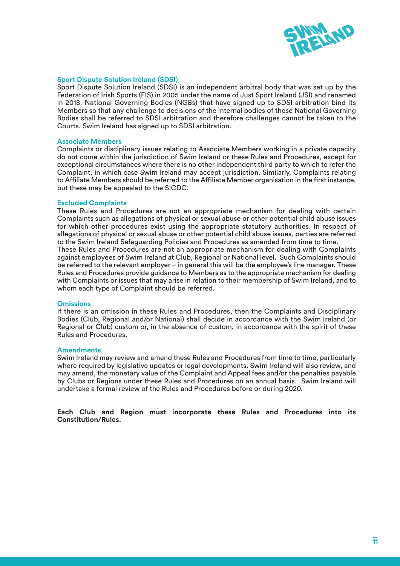

#### **Sport Dispute Solution Ireland (SDSI)**

Sport Dispute Solution Ireland (SDSI) is an independent arbitral body that was set up by the Federation of Irish Sports (FIS) in 2005 under the name of Just Sport Ireland (JSI) and renamed in 2018. National Governing Bodies (NGBs) that have signed up to SDSI arbitration bind its Members so that any challenge to decisions of the internal bodies of those National Governing Bodies shall be referred to SDSI arbitration and therefore challenges cannot be taken to the Courts. Swim Ireland has signed up to SDSI arbitration.

#### **Associate Members**

Complaints or disciplinary issues relating to Associate Members working in a private capacity do not come within the jurisdiction of Swim Ireland or these Rules and Procedures, except for exceptional circumstances where there is no other independent third party to which to refer the Complaint, in which case Swim Ireland may accept jurisdiction. Similarly, Complaints relating to Affiliate Members should be referred to the Affiliate Member organisation in the first instance, but these may be appealed to the SICDC.

#### **Excluded Complaints**

These Rules and Procedures are not an appropriate mechanism for dealing with certain Complaints such as allegations of physical or sexual abuse or other potential child abuse issues for which other procedures exist using the appropriate statutory authorities. In respect of allegations of physical or sexual abuse or other potential child abuse issues, parties are referred to the Swim Ireland Safeguarding Policies and Procedures as amended from time to time. These Rules and Procedures are not an appropriate mechanism for dealing with Complaints against employees of Swim Ireland at Club, Regional or National level. Such Complaints should be referred to the relevant employer – in general this will be the employee's line manager. These Rules and Procedures provide guidance to Members as to the appropriate mechanism for dealing with Complaints or issues that may arise in relation to their membership of Swim Ireland, and to whom each type of Complaint should be referred.

#### **Omissions**

If there is an omission in these Rules and Procedures, then the Complaints and Disciplinary Bodies (Club, Regional and/or National) shall decide in accordance with the Swim Ireland (or Regional or Club) custom or, in the absence of custom, in accordance with the spirit of these Rules and Procedures.

#### **Amendments**

Swim Ireland may review and amend these Rules and Procedures from time to time, particularly where required by legislative updates or legal developments. Swim Ireland will also review, and may amend, the monetary value of the Complaint and Appeal fees and/or the penalties payable by Clubs or Regions under these Rules and Procedures on an annual basis. Swim Ireland will undertake a formal review of the Rules and Procedures before or during 2020.

**Each Club and Region must incorporate these Rules and Procedures into its Constitution/Rules.**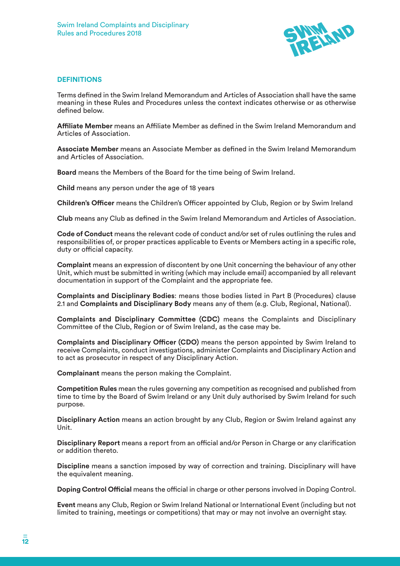

#### **DEFINITIONS**

Terms defined in the Swim Ireland Memorandum and Articles of Association shall have the same meaning in these Rules and Procedures unless the context indicates otherwise or as otherwise defined below.

**Affiliate Member** means an Affiliate Member as defined in the Swim Ireland Memorandum and Articles of Association.

**Associate Member** means an Associate Member as defined in the Swim Ireland Memorandum and Articles of Association.

**Board** means the Members of the Board for the time being of Swim Ireland.

**Child** means any person under the age of 18 years

**Children's Officer** means the Children's Officer appointed by Club, Region or by Swim Ireland

**Club** means any Club as defined in the Swim Ireland Memorandum and Articles of Association.

**Code of Conduct** means the relevant code of conduct and/or set of rules outlining the rules and responsibilities of, or proper practices applicable to Events or Members acting in a specific role, duty or official capacity.

**Complaint** means an expression of discontent by one Unit concerning the behaviour of any other Unit, which must be submitted in writing (which may include email) accompanied by all relevant documentation in support of the Complaint and the appropriate fee.

**Complaints and Disciplinary Bodies**: means those bodies listed in Part B (Procedures) clause 2.1 and **Complaints and Disciplinary Body** means any of them (e.g. Club, Regional, National).

**Complaints and Disciplinary Committee (CDC)** means the Complaints and Disciplinary Committee of the Club, Region or of Swim Ireland, as the case may be.

**Complaints and Disciplinary Officer (CDO)** means the person appointed by Swim Ireland to receive Complaints, conduct investigations, administer Complaints and Disciplinary Action and to act as prosecutor in respect of any Disciplinary Action.

**Complainant** means the person making the Complaint.

**Competition Rules** mean the rules governing any competition as recognised and published from time to time by the Board of Swim Ireland or any Unit duly authorised by Swim Ireland for such purpose.

**Disciplinary Action** means an action brought by any Club, Region or Swim Ireland against any Unit.

**Disciplinary Report** means a report from an official and/or Person in Charge or any clarification or addition thereto.

**Discipline** means a sanction imposed by way of correction and training. Disciplinary will have the equivalent meaning.

**Doping Control Official** means the official in charge or other persons involved in Doping Control.

**Event** means any Club, Region or Swim Ireland National or International Event (including but not limited to training, meetings or competitions) that may or may not involve an overnight stay.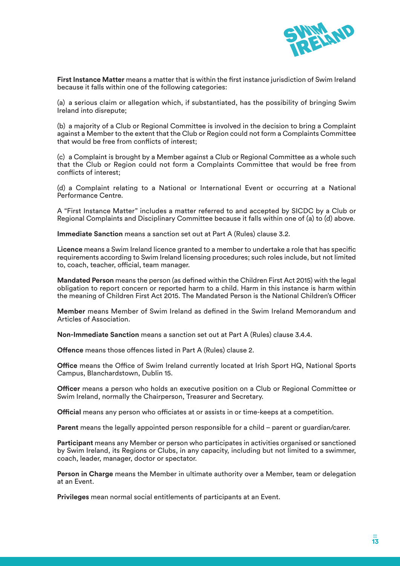

**First Instance Matter** means a matter that is within the first instance jurisdiction of Swim Ireland because it falls within one of the following categories:

(a) a serious claim or allegation which, if substantiated, has the possibility of bringing Swim Ireland into disrepute;

(b) a majority of a Club or Regional Committee is involved in the decision to bring a Complaint against a Member to the extent that the Club or Region could not form a Complaints Committee that would be free from conflicts of interest;

(c) a Complaint is brought by a Member against a Club or Regional Committee as a whole such that the Club or Region could not form a Complaints Committee that would be free from conflicts of interest;

(d) a Complaint relating to a National or International Event or occurring at a National Performance Centre.

A "First Instance Matter" includes a matter referred to and accepted by SICDC by a Club or Regional Complaints and Disciplinary Committee because it falls within one of (a) to (d) above.

**Immediate Sanction** means a sanction set out at Part A (Rules) clause 3.2.

**Licence** means a Swim Ireland licence granted to a member to undertake a role that has specific requirements according to Swim Ireland licensing procedures; such roles include, but not limited to, coach, teacher, official, team manager.

**Mandated Person** means the person (as defined within the Children First Act 2015) with the legal obligation to report concern or reported harm to a child. Harm in this instance is harm within the meaning of Children First Act 2015. The Mandated Person is the National Children's Officer

**Member** means Member of Swim Ireland as defined in the Swim Ireland Memorandum and Articles of Association.

**Non-Immediate Sanction** means a sanction set out at Part A (Rules) clause 3.4.4.

**Offence** means those offences listed in Part A (Rules) clause 2.

**Office** means the Office of Swim Ireland currently located at Irish Sport HQ, National Sports Campus, Blanchardstown, Dublin 15.

**Officer** means a person who holds an executive position on a Club or Regional Committee or Swim Ireland, normally the Chairperson, Treasurer and Secretary.

**Official** means any person who officiates at or assists in or time-keeps at a competition.

**Parent** means the legally appointed person responsible for a child – parent or guardian/carer.

**Participant** means any Member or person who participates in activities organised or sanctioned by Swim Ireland, its Regions or Clubs, in any capacity, including but not limited to a swimmer, coach, leader, manager, doctor or spectator.

**Person in Charge** means the Member in ultimate authority over a Member, team or delegation at an Event.

**Privileges** mean normal social entitlements of participants at an Event.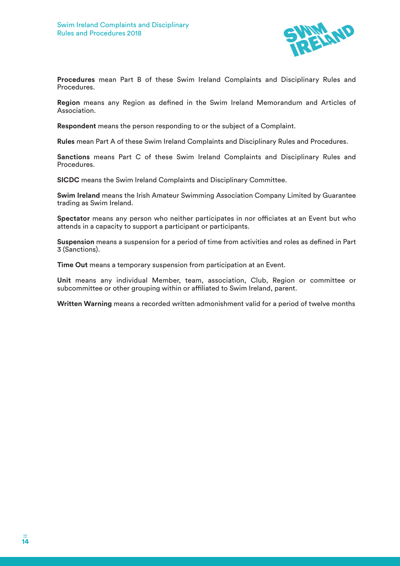

**Procedures** mean Part B of these Swim Ireland Complaints and Disciplinary Rules and Procedures.

**Region** means any Region as defined in the Swim Ireland Memorandum and Articles of Association.

**Respondent** means the person responding to or the subject of a Complaint.

**Rules** mean Part A of these Swim Ireland Complaints and Disciplinary Rules and Procedures.

**Sanctions** means Part C of these Swim Ireland Complaints and Disciplinary Rules and Procedures.

**SICDC** means the Swim Ireland Complaints and Disciplinary Committee.

**Swim Ireland** means the Irish Amateur Swimming Association Company Limited by Guarantee trading as Swim Ireland.

**Spectator** means any person who neither participates in nor officiates at an Event but who attends in a capacity to support a participant or participants.

**Suspension** means a suspension for a period of time from activities and roles as defined in Part 3 (Sanctions).

**Time Out** means a temporary suspension from participation at an Event.

**Unit** means any individual Member, team, association, Club, Region or committee or subcommittee or other grouping within or affiliated to Swim Ireland, parent.

**Written Warning** means a recorded written admonishment valid for a period of twelve months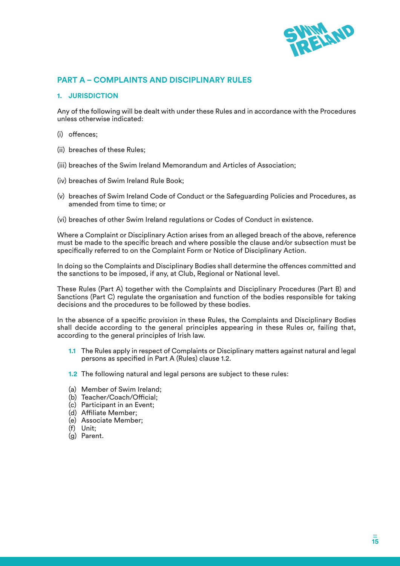

# **PART A – COMPLAINTS AND DISCIPLINARY RULES**

#### **1. JURISDICTION**

Any of the following will be dealt with under these Rules and in accordance with the Procedures unless otherwise indicated:

- (i) offences;
- (ii) breaches of these Rules;
- (iii) breaches of the Swim Ireland Memorandum and Articles of Association;
- (iv) breaches of Swim Ireland Rule Book;
- (v) breaches of Swim Ireland Code of Conduct or the Safeguarding Policies and Procedures, as amended from time to time; or
- (vi) breaches of other Swim Ireland regulations or Codes of Conduct in existence.

Where a Complaint or Disciplinary Action arises from an alleged breach of the above, reference must be made to the specific breach and where possible the clause and/or subsection must be specifically referred to on the Complaint Form or Notice of Disciplinary Action.

In doing so the Complaints and Disciplinary Bodies shall determine the offences committed and the sanctions to be imposed, if any, at Club, Regional or National level.

These Rules (Part A) together with the Complaints and Disciplinary Procedures (Part B) and Sanctions (Part C) regulate the organisation and function of the bodies responsible for taking decisions and the procedures to be followed by these bodies.

In the absence of a specific provision in these Rules, the Complaints and Disciplinary Bodies shall decide according to the general principles appearing in these Rules or, failing that, according to the general principles of Irish law.

- **1.1** The Rules apply in respect of Complaints or Disciplinary matters against natural and legal persons as specified in Part A (Rules) clause 1.2.
- **1.2** The following natural and legal persons are subject to these rules:
- (a) Member of Swim Ireland;
- (b) Teacher/Coach/Official;
- (c) Participant in an Event;
- (d) Affiliate Member;
- (e) Associate Member;
- (f) Unit;
- (g) Parent.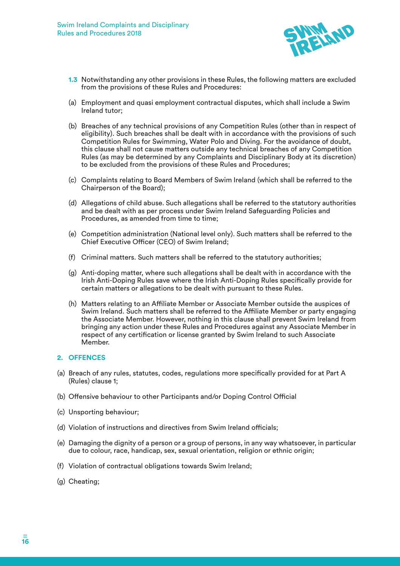

- **1.3** Notwithstanding any other provisions in these Rules, the following matters are excluded from the provisions of these Rules and Procedures:
- (a) Employment and quasi employment contractual disputes, which shall include a Swim Ireland tutor;
- (b) Breaches of any technical provisions of any Competition Rules (other than in respect of eligibility). Such breaches shall be dealt with in accordance with the provisions of such Competition Rules for Swimming, Water Polo and Diving. For the avoidance of doubt, this clause shall not cause matters outside any technical breaches of any Competition Rules (as may be determined by any Complaints and Disciplinary Body at its discretion) to be excluded from the provisions of these Rules and Procedures;
- (c) Complaints relating to Board Members of Swim Ireland (which shall be referred to the Chairperson of the Board);
- (d) Allegations of child abuse. Such allegations shall be referred to the statutory authorities and be dealt with as per process under Swim Ireland Safeguarding Policies and Procedures, as amended from time to time:
- (e) Competition administration (National level only). Such matters shall be referred to the Chief Executive Officer (CEO) of Swim Ireland;
- (f) Criminal matters. Such matters shall be referred to the statutory authorities;
- (g) Anti-doping matter, where such allegations shall be dealt with in accordance with the Irish Anti-Doping Rules save where the Irish Anti-Doping Rules specifically provide for certain matters or allegations to be dealt with pursuant to these Rules.
- (h) Matters relating to an Affiliate Member or Associate Member outside the auspices of Swim Ireland. Such matters shall be referred to the Affiliate Member or party engaging the Associate Member. However, nothing in this clause shall prevent Swim Ireland from bringing any action under these Rules and Procedures against any Associate Member in respect of any certification or license granted by Swim Ireland to such Associate Member.

#### **2. OFFENCES**

- (a) Breach of any rules, statutes, codes, regulations more specifically provided for at Part A (Rules) clause 1;
- (b) Offensive behaviour to other Participants and/or Doping Control Official
- (c) Unsporting behaviour;
- (d) Violation of instructions and directives from Swim Ireland officials;
- (e) Damaging the dignity of a person or a group of persons, in any way whatsoever, in particular due to colour, race, handicap, sex, sexual orientation, religion or ethnic origin;
- (f) Violation of contractual obligations towards Swim Ireland;
- (g) Cheating;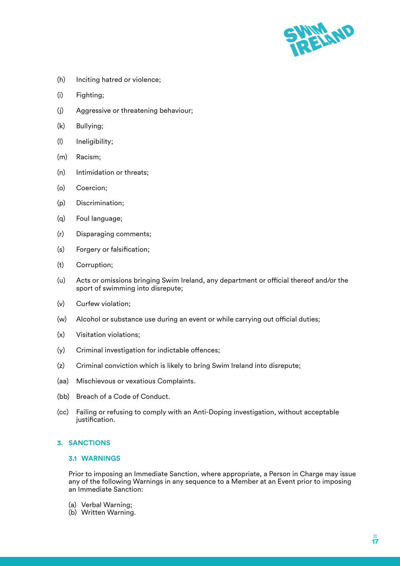

- (h) Inciting hatred or violence;
- (i) Fighting;
- (j) Aggressive or threatening behaviour;
- (k) Bullying;
- (l) Ineligibility;
- (m) Racism;
- (n) Intimidation or threats;
- (o) Coercion;
- (p) Discrimination;
- (q) Foul language;
- (r) Disparaging comments;
- (s) Forgery or falsification;
- (t) Corruption;
- (u) Acts or omissions bringing Swim Ireland, any department or official thereof and/or the sport of swimming into disrepute;
- (v) Curfew violation;
- (w) Alcohol or substance use during an event or while carrying out official duties;
- (x) Visitation violations;
- (y) Criminal investigation for indictable offences;
- (z) Criminal conviction which is likely to bring Swim Ireland into disrepute;
- (aa) Mischievous or vexatious Complaints.
- (bb) Breach of a Code of Conduct.
- (cc) Failing or refusing to comply with an Anti-Doping investigation, without acceptable justification.

#### **3. SANCTIONS**

#### **3.1 WARNINGS**

Prior to imposing an Immediate Sanction, where appropriate, a Person in Charge may issue any of the following Warnings in any sequence to a Member at an Event prior to imposing an Immediate Sanction:

- (a) Verbal Warning;
- (b) Written Warning.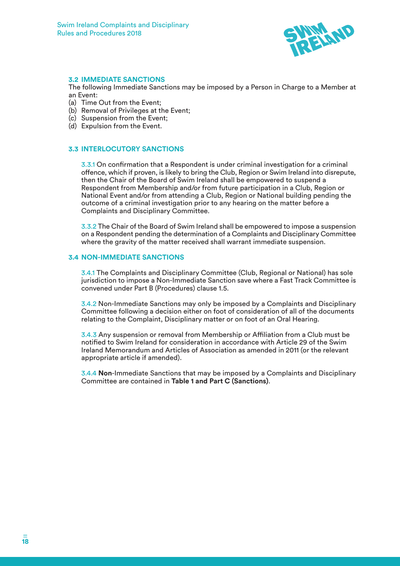

#### **3.2 IMMEDIATE SANCTIONS**

The following Immediate Sanctions may be imposed by a Person in Charge to a Member at an Event:

- (a) Time Out from the Event;
- (b) Removal of Privileges at the Event;
- (c) Suspension from the Event;
- (d) Expulsion from the Event.

#### **3.3 INTERLOCUTORY SANCTIONS**

3.3.1 On confirmation that a Respondent is under criminal investigation for a criminal offence, which if proven, is likely to bring the Club, Region or Swim Ireland into disrepute, then the Chair of the Board of Swim Ireland shall be empowered to suspend a Respondent from Membership and/or from future participation in a Club, Region or National Event and/or from attending a Club, Region or National building pending the outcome of a criminal investigation prior to any hearing on the matter before a Complaints and Disciplinary Committee.

3.3.2 The Chair of the Board of Swim Ireland shall be empowered to impose a suspension on a Respondent pending the determination of a Complaints and Disciplinary Committee where the gravity of the matter received shall warrant immediate suspension.

#### **3.4 NON-IMMEDIATE SANCTIONS**

3.4.1 The Complaints and Disciplinary Committee (Club, Regional or National) has sole jurisdiction to impose a Non-Immediate Sanction save where a Fast Track Committee is convened under Part B (Procedures) clause 1.5.

3.4.2 Non-Immediate Sanctions may only be imposed by a Complaints and Disciplinary Committee following a decision either on foot of consideration of all of the documents relating to the Complaint, Disciplinary matter or on foot of an Oral Hearing.

3.4.3 Any suspension or removal from Membership or Affiliation from a Club must be notified to Swim Ireland for consideration in accordance with Article 29 of the Swim Ireland Memorandum and Articles of Association as amended in 2011 (or the relevant appropriate article if amended).

3.4.4 **Non**-Immediate Sanctions that may be imposed by a Complaints and Disciplinary Committee are contained in **Table 1 and Part C (Sanctions)**.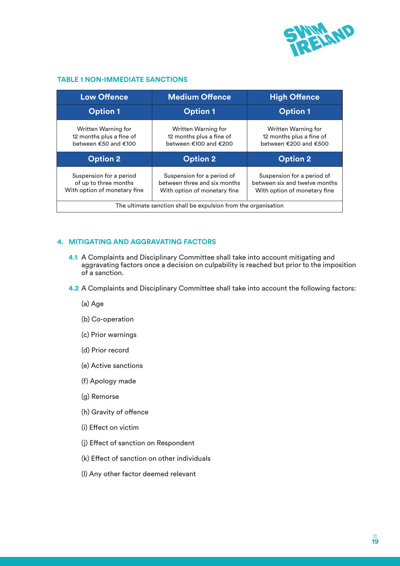

#### **TABLE 1 NON-IMMEDIATE SANCTIONS**

| <b>Low Offence</b>                                                               | <b>Medium Offence</b>                                                                      | <b>High Offence</b>                                                                         |  |
|----------------------------------------------------------------------------------|--------------------------------------------------------------------------------------------|---------------------------------------------------------------------------------------------|--|
| <b>Option 1</b>                                                                  | <b>Option 1</b>                                                                            | <b>Option 1</b>                                                                             |  |
| Written Warning for<br>12 months plus a fine of<br>between €50 and €100          | Written Warning for<br>12 months plus a fine of<br>between €100 and €200                   | Written Warning for<br>12 months plus a fine of<br>between €200 and €500                    |  |
| <b>Option 2</b>                                                                  | <b>Option 2</b>                                                                            | <b>Option 2</b>                                                                             |  |
|                                                                                  |                                                                                            |                                                                                             |  |
| Suspension for a period<br>of up to three months<br>With option of monetary fine | Suspension for a period of<br>between three and six months<br>With option of monetary fine | Suspension for a period of<br>between six and twelve months<br>With option of monetary fine |  |

#### **4. MITIGATING AND AGGRAVATING FACTORS**

- **4.1** A Complaints and Disciplinary Committee shall take into account mitigating and aggravating factors once a decision on culpability is reached but prior to the imposition of a sanction.
- **4.2** A Complaints and Disciplinary Committee shall take into account the following factors:
	- (a) Age
	- (b) Co-operation
	- (c) Prior warnings
	- (d) Prior record
	- (e) Active sanctions
	- (f) Apology made
	- (g) Remorse
	- (h) Gravity of offence
	- (i) Effect on victim
	- (j) Effect of sanction on Respondent
	- (k) Effect of sanction on other individuals
	- (l) Any other factor deemed relevant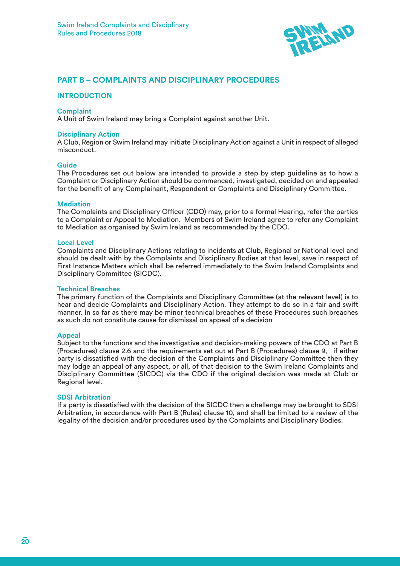

# **PART B – COMPLAINTS AND DISCIPLINARY PROCEDURES**

#### **INTRODUCTION**

#### **Complaint**

A Unit of Swim Ireland may bring a Complaint against another Unit.

#### **Disciplinary Action**

A Club, Region or Swim Ireland may initiate Disciplinary Action against a Unit in respect of alleged misconduct.

#### **Guide**

The Procedures set out below are intended to provide a step by step guideline as to how a Complaint or Disciplinary Action should be commenced, investigated, decided on and appealed for the benefit of any Complainant, Respondent or Complaints and Disciplinary Committee.

#### **Mediation**

The Complaints and Disciplinary Officer (CDO) may, prior to a formal Hearing, refer the parties to a Complaint or Appeal to Mediation. Members of Swim Ireland agree to refer any Complaint to Mediation as organised by Swim Ireland as recommended by the CDO.

#### **Local Level**

Complaints and Disciplinary Actions relating to incidents at Club, Regional or National level and should be dealt with by the Complaints and Disciplinary Bodies at that level, save in respect of First Instance Matters which shall be referred immediately to the Swim Ireland Complaints and Disciplinary Committee (SICDC).

#### **Technical Breaches**

The primary function of the Complaints and Disciplinary Committee (at the relevant level) is to hear and decide Complaints and Disciplinary Action. They attempt to do so in a fair and swift manner. In so far as there may be minor technical breaches of these Procedures such breaches as such do not constitute cause for dismissal on appeal of a decision

#### **Appeal**

Subject to the functions and the investigative and decision-making powers of the CDO at Part B (Procedures) clause 2.6 and the requirements set out at Part B (Procedures) clause 9, if either party is dissatisfied with the decision of the Complaints and Disciplinary Committee then they may lodge an appeal of any aspect, or all, of that decision to the Swim Ireland Complaints and Disciplinary Committee (SICDC) via the CDO if the original decision was made at Club or Regional level.

#### **SDSI Arbitration**

If a party is dissatisfied with the decision of the SICDC then a challenge may be brought to SDSI Arbitration, in accordance with Part B (Rules) clause 10, and shall be limited to a review of the legality of the decision and/or procedures used by the Complaints and Disciplinary Bodies.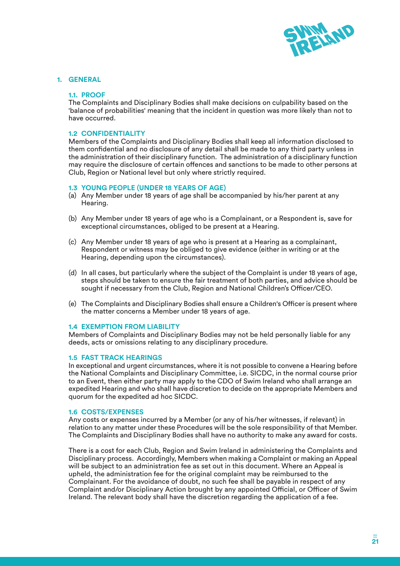

#### **1. GENERAL**

#### **1.1. PROOF**

The Complaints and Disciplinary Bodies shall make decisions on culpability based on the 'balance of probabilities' meaning that the incident in question was more likely than not to have occurred.

#### **1.2 CONFIDENTIALITY**

Members of the Complaints and Disciplinary Bodies shall keep all information disclosed to them confidential and no disclosure of any detail shall be made to any third party unless in the administration of their disciplinary function. The administration of a disciplinary function may require the disclosure of certain offences and sanctions to be made to other persons at Club, Region or National level but only where strictly required.

#### **1.3 YOUNG PEOPLE (UNDER 18 YEARS OF AGE)**

- (a) Any Member under 18 years of age shall be accompanied by his/her parent at any Hearing.
- (b) Any Member under 18 years of age who is a Complainant, or a Respondent is, save for exceptional circumstances, obliged to be present at a Hearing.
- (c) Any Member under 18 years of age who is present at a Hearing as a complainant, Respondent or witness may be obliged to give evidence (either in writing or at the Hearing, depending upon the circumstances).
- (d) In all cases, but particularly where the subject of the Complaint is under 18 years of age, steps should be taken to ensure the fair treatment of both parties, and advice should be sought if necessary from the Club, Region and National Children's Officer/CEO.
- (e) The Complaints and Disciplinary Bodies shall ensure a Children's Officer is present where the matter concerns a Member under 18 years of age.

#### **1.4 EXEMPTION FROM LIABILITY**

Members of Complaints and Disciplinary Bodies may not be held personally liable for any deeds, acts or omissions relating to any disciplinary procedure.

#### **1.5 FAST TRACK HEARINGS**

In exceptional and urgent circumstances, where it is not possible to convene a Hearing before the National Complaints and Disciplinary Committee, i.e. SICDC, in the normal course prior to an Event, then either party may apply to the CDO of Swim Ireland who shall arrange an expedited Hearing and who shall have discretion to decide on the appropriate Members and quorum for the expedited ad hoc SICDC.

#### **1.6 COSTS/EXPENSES**

Any costs or expenses incurred by a Member (or any of his/her witnesses, if relevant) in relation to any matter under these Procedures will be the sole responsibility of that Member. The Complaints and Disciplinary Bodies shall have no authority to make any award for costs.

There is a cost for each Club, Region and Swim Ireland in administering the Complaints and Disciplinary process. Accordingly, Members when making a Complaint or making an Appeal will be subject to an administration fee as set out in this document. Where an Appeal is upheld, the administration fee for the original complaint may be reimbursed to the Complainant. For the avoidance of doubt, no such fee shall be payable in respect of any Complaint and/or Disciplinary Action brought by any appointed Official, or Officer of Swim Ireland. The relevant body shall have the discretion regarding the application of a fee.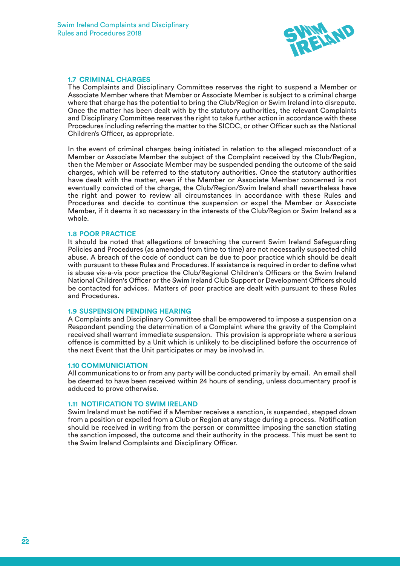

#### **1.7 CRIMINAL CHARGES**

The Complaints and Disciplinary Committee reserves the right to suspend a Member or Associate Member where that Member or Associate Member is subject to a criminal charge where that charge has the potential to bring the Club/Region or Swim Ireland into disrepute. Once the matter has been dealt with by the statutory authorities, the relevant Complaints and Disciplinary Committee reserves the right to take further action in accordance with these Procedures including referring the matter to the SICDC, or other Officer such as the National Children's Officer, as appropriate.

In the event of criminal charges being initiated in relation to the alleged misconduct of a Member or Associate Member the subject of the Complaint received by the Club/Region, then the Member or Associate Member may be suspended pending the outcome of the said charges, which will be referred to the statutory authorities. Once the statutory authorities have dealt with the matter, even if the Member or Associate Member concerned is not eventually convicted of the charge, the Club/Region/Swim Ireland shall nevertheless have the right and power to review all circumstances in accordance with these Rules and Procedures and decide to continue the suspension or expel the Member or Associate Member, if it deems it so necessary in the interests of the Club/Region or Swim Ireland as a whole.

#### **1.8 POOR PRACTICE**

It should be noted that allegations of breaching the current Swim Ireland Safeguarding Policies and Procedures (as amended from time to time) are not necessarily suspected child abuse. A breach of the code of conduct can be due to poor practice which should be dealt with pursuant to these Rules and Procedures. If assistance is required in order to define what is abuse vis-a-vis poor practice the Club/Regional Children's Officers or the Swim Ireland National Children's Officer or the Swim Ireland Club Support or Development Officers should be contacted for advices. Matters of poor practice are dealt with pursuant to these Rules and Procedures.

#### **1.9 SUSPENSION PENDING HEARING**

A Complaints and Disciplinary Committee shall be empowered to impose a suspension on a Respondent pending the determination of a Complaint where the gravity of the Complaint received shall warrant immediate suspension. This provision is appropriate where a serious offence is committed by a Unit which is unlikely to be disciplined before the occurrence of the next Event that the Unit participates or may be involved in.

#### **1.10 COMMUNICIATION**

All communications to or from any party will be conducted primarily by email. An email shall be deemed to have been received within 24 hours of sending, unless documentary proof is adduced to prove otherwise.

#### **1.11 NOTIFICATION TO SWIM IRELAND**

Swim Ireland must be notified if a Member receives a sanction, is suspended, stepped down from a position or expelled from a Club or Region at any stage during a process. Notification should be received in writing from the person or committee imposing the sanction stating the sanction imposed, the outcome and their authority in the process. This must be sent to the Swim Ireland Complaints and Disciplinary Officer.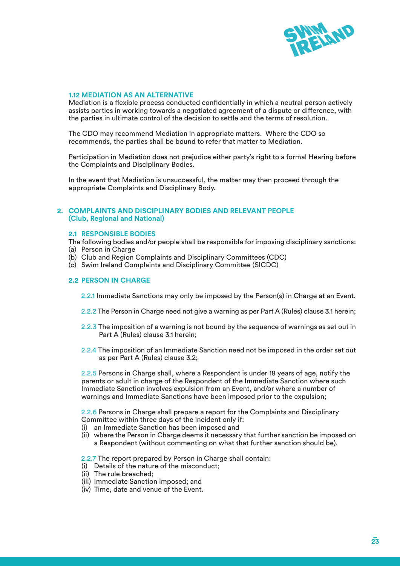

#### **1.12 MEDIATION AS AN ALTERNATIVE**

Mediation is a flexible process conducted confidentially in which a neutral person actively assists parties in working towards a negotiated agreement of a dispute or difference, with the parties in ultimate control of the decision to settle and the terms of resolution.

The CDO may recommend Mediation in appropriate matters. Where the CDO so recommends, the parties shall be bound to refer that matter to Mediation.

Participation in Mediation does not prejudice either party's right to a formal Hearing before the Complaints and Disciplinary Bodies.

In the event that Mediation is unsuccessful, the matter may then proceed through the appropriate Complaints and Disciplinary Body.

#### **2. COMPLAINTS AND DISCIPLINARY BODIES AND RELEVANT PEOPLE (Club, Regional and National)**

#### **2.1 RESPONSIBLE BODIES**

The following bodies and/or people shall be responsible for imposing disciplinary sanctions:

- (a) Person in Charge
- (b) Club and Region Complaints and Disciplinary Committees (CDC)
- (c) Swim Ireland Complaints and Disciplinary Committee (SICDC)

#### **2.2 PERSON IN CHARGE**

2.2.1 Immediate Sanctions may only be imposed by the Person(s) in Charge at an Event.

- 2.2.2 The Person in Charge need not give a warning as per Part A (Rules) clause 3.1 herein;
- 2.2.3 The imposition of a warning is not bound by the sequence of warnings as set out in Part A (Rules) clause 3.1 herein;
- 2.2.4 The imposition of an Immediate Sanction need not be imposed in the order set out as per Part A (Rules) clause 3.2;

2.2.5 Persons in Charge shall, where a Respondent is under 18 years of age, notify the parents or adult in charge of the Respondent of the Immediate Sanction where such Immediate Sanction involves expulsion from an Event, and/or where a number of warnings and Immediate Sanctions have been imposed prior to the expulsion;

2.2.6 Persons in Charge shall prepare a report for the Complaints and Disciplinary Committee within three days of the incident only if:

- (i) an Immediate Sanction has been imposed and
- (ii) where the Person in Charge deems it necessary that further sanction be imposed on a Respondent (without commenting on what that further sanction should be).

2.2.7 The report prepared by Person in Charge shall contain:

- (i) Details of the nature of the misconduct;
- (ii) The rule breached;
- (iii) Immediate Sanction imposed; and
- (iv) Time, date and venue of the Event.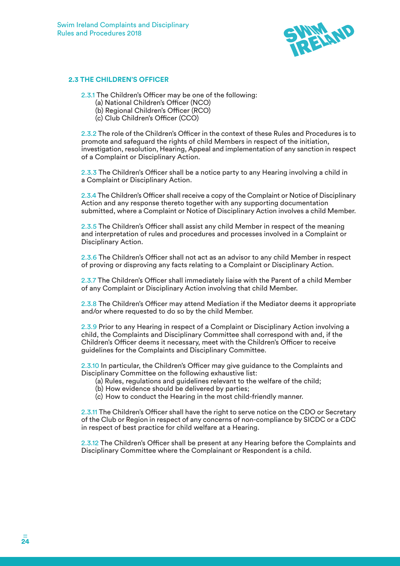

#### **2.3 THE CHILDREN'S OFFICER**

2.3.1 The Children's Officer may be one of the following:

- (a) National Children's Officer (NCO)
- (b) Regional Children's Officer (RCO)
- (c) Club Children's Officer (CCO)

2.3.2 The role of the Children's Officer in the context of these Rules and Procedures is to promote and safeguard the rights of child Members in respect of the initiation, investigation, resolution, Hearing, Appeal and implementation of any sanction in respect of a Complaint or Disciplinary Action.

2.3.3 The Children's Officer shall be a notice party to any Hearing involving a child in a Complaint or Disciplinary Action.

2.3.4 The Children's Officer shall receive a copy of the Complaint or Notice of Disciplinary Action and any response thereto together with any supporting documentation submitted, where a Complaint or Notice of Disciplinary Action involves a child Member.

2.3.5 The Children's Officer shall assist any child Member in respect of the meaning and interpretation of rules and procedures and processes involved in a Complaint or Disciplinary Action.

2.3.6 The Children's Officer shall not act as an advisor to any child Member in respect of proving or disproving any facts relating to a Complaint or Disciplinary Action.

2.3.7 The Children's Officer shall immediately liaise with the Parent of a child Member of any Complaint or Disciplinary Action involving that child Member.

2.3.8 The Children's Officer may attend Mediation if the Mediator deems it appropriate and/or where requested to do so by the child Member.

2.3.9 Prior to any Hearing in respect of a Complaint or Disciplinary Action involving a child, the Complaints and Disciplinary Committee shall correspond with and, if the Children's Officer deems it necessary, meet with the Children's Officer to receive guidelines for the Complaints and Disciplinary Committee.

2.3.10 In particular, the Children's Officer may give guidance to the Complaints and Disciplinary Committee on the following exhaustive list:

- (a) Rules, regulations and guidelines relevant to the welfare of the child;
- (b) How evidence should be delivered by parties;
- (c) How to conduct the Hearing in the most child-friendly manner.

2.3.11 The Children's Officer shall have the right to serve notice on the CDO or Secretary of the Club or Region in respect of any concerns of non-compliance by SICDC or a CDC in respect of best practice for child welfare at a Hearing.

2.3.12 The Children's Officer shall be present at any Hearing before the Complaints and Disciplinary Committee where the Complainant or Respondent is a child.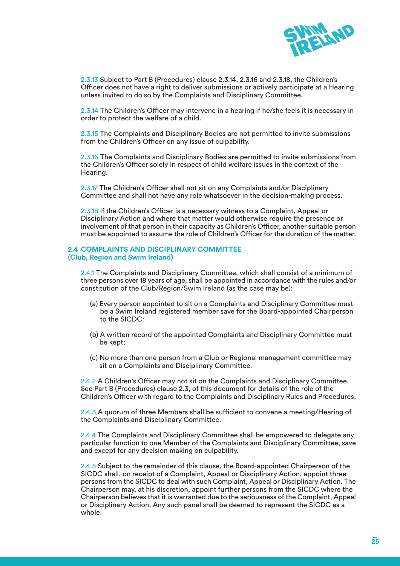

2.3.13 Subject to Part B (Procedures) clause 2.3.14, 2.3.16 and 2.3.18, the Children's Officer does not have a right to deliver submissions or actively participate at a Hearing unless invited to do so by the Complaints and Disciplinary Committee.

2.3.14 The Children's Officer may intervene in a hearing if he/she feels it is necessary in order to protect the welfare of a child.

2.3.15 The Complaints and Disciplinary Bodies are not permitted to invite submissions from the Children's Officer on any issue of culpability.

2.3.16 The Complaints and Disciplinary Bodies are permitted to invite submissions from the Children's Officer solely in respect of child welfare issues in the context of the Hearing.

2.3.17 The Children's Officer shall not sit on any Complaints and/or Disciplinary Committee and shall not have any role whatsoever in the decision-making process.

2.3.18 If the Children's Officer is a necessary witness to a Complaint, Appeal or Disciplinary Action and where that matter would otherwise require the presence or involvement of that person in their capacity as Children's Officer, another suitable person must be appointed to assume the role of Children's Officer for the duration of the matter.

#### **2.4 COMPLAINTS AND DISCIPLINARY COMMITTEE (Club, Region and Swim Ireland)**

2.4.1 The Complaints and Disciplinary Committee, which shall consist of a minimum of three persons over 18 years of age, shall be appointed in accordance with the rules and/or constitution of the Club/Region/Swim Ireland (as the case may be):

- (a) Every person appointed to sit on a Complaints and Disciplinary Committee must be a Swim Ireland registered member save for the Board-appointed Chairperson to the SICDC:
- (b) A written record of the appointed Complaints and Disciplinary Committee must be kept;
- (c) No more than one person from a Club or Regional management committee may sit on a Complaints and Disciplinary Committee.

2.4.2 A Children's Officer may not sit on the Complaints and Disciplinary Committee. See Part B (Procedures) clause 2.3, of this document for details of the role of the Children's Officer with regard to the Complaints and Disciplinary Rules and Procedures.

2.4.3 A quorum of three Members shall be sufficient to convene a meeting/Hearing of the Complaints and Disciplinary Committee.

2.4.4 The Complaints and Disciplinary Committee shall be empowered to delegate any particular function to one Member of the Complaints and Disciplinary Committee, save and except for any decision making on culpability.

2.4.5 Subject to the remainder of this clause, the Board-appointed Chairperson of the SICDC shall, on receipt of a Complaint, Appeal or Disciplinary Action, appoint three persons from the SICDC to deal with such Complaint, Appeal or Disciplinary Action. The Chairperson may, at his discretion, appoint further persons from the SICDC where the Chairperson believes that it is warranted due to the seriousness of the Complaint, Appeal or Disciplinary Action. Any such panel shall be deemed to represent the SICDC as a whole.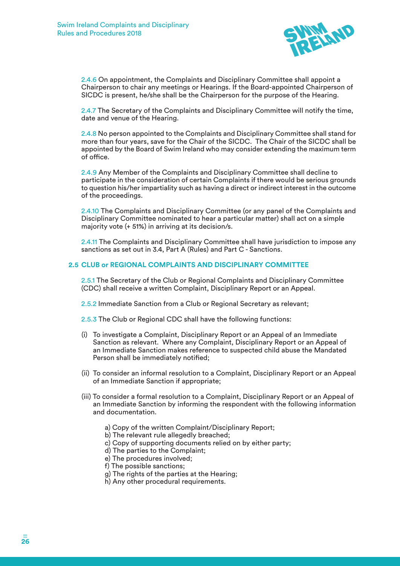

2.4.6 On appointment, the Complaints and Disciplinary Committee shall appoint a Chairperson to chair any meetings or Hearings. If the Board-appointed Chairperson of SICDC is present, he/she shall be the Chairperson for the purpose of the Hearing.

2.4.7 The Secretary of the Complaints and Disciplinary Committee will notify the time, date and venue of the Hearing.

2.4.8 No person appointed to the Complaints and Disciplinary Committee shall stand for more than four years, save for the Chair of the SICDC. The Chair of the SICDC shall be appointed by the Board of Swim Ireland who may consider extending the maximum term of office.

2.4.9 Any Member of the Complaints and Disciplinary Committee shall decline to participate in the consideration of certain Complaints if there would be serious grounds to question his/her impartiality such as having a direct or indirect interest in the outcome of the proceedings.

2.4.10 The Complaints and Disciplinary Committee (or any panel of the Complaints and Disciplinary Committee nominated to hear a particular matter) shall act on a simple majority vote (+ 51%) in arriving at its decision/s.

2.4.11 The Complaints and Disciplinary Committee shall have jurisdiction to impose any sanctions as set out in 3.4, Part A (Rules) and Part C - Sanctions.

#### **2.5 CLUB or REGIONAL COMPLAINTS AND DISCIPLINARY COMMITTEE**

2.5.1 The Secretary of the Club or Regional Complaints and Disciplinary Committee (CDC) shall receive a written Complaint, Disciplinary Report or an Appeal.

2.5.2 Immediate Sanction from a Club or Regional Secretary as relevant;

2.5.3 The Club or Regional CDC shall have the following functions:

- (i) To investigate a Complaint, Disciplinary Report or an Appeal of an Immediate Sanction as relevant. Where any Complaint, Disciplinary Report or an Appeal of an Immediate Sanction makes reference to suspected child abuse the Mandated Person shall be immediately notified;
- (ii) To consider an informal resolution to a Complaint, Disciplinary Report or an Appeal of an Immediate Sanction if appropriate;
- (iii) To consider a formal resolution to a Complaint, Disciplinary Report or an Appeal of an Immediate Sanction by informing the respondent with the following information and documentation.
	- a) Copy of the written Complaint/Disciplinary Report;
	- b) The relevant rule allegedly breached;
	- c) Copy of supporting documents relied on by either party;
	- d) The parties to the Complaint;
	- e) The procedures involved;
	- f) The possible sanctions;
	- g) The rights of the parties at the Hearing;
	- h) Any other procedural requirements.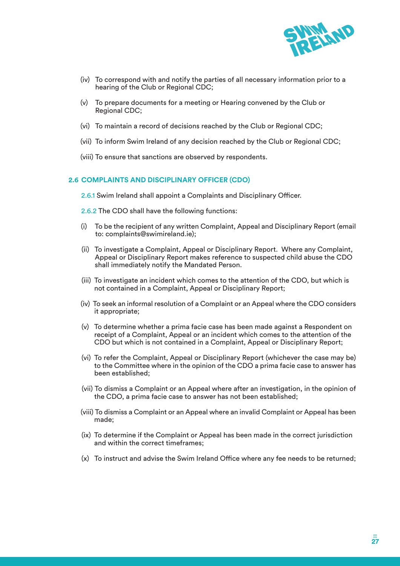

- (iv) To correspond with and notify the parties of all necessary information prior to a hearing of the Club or Regional CDC;
- (v) To prepare documents for a meeting or Hearing convened by the Club or Regional CDC;
- (vi) To maintain a record of decisions reached by the Club or Regional CDC;
- (vii) To inform Swim Ireland of any decision reached by the Club or Regional CDC;
- (viii) To ensure that sanctions are observed by respondents.

#### **2.6 COMPLAINTS AND DISCIPLINARY OFFICER (CDO)**

2.6.1 Swim Ireland shall appoint a Complaints and Disciplinary Officer.

- 2.6.2 The CDO shall have the following functions:
- (i) To be the recipient of any written Complaint, Appeal and Disciplinary Report (email to: complaints@swimireland.ie);
- (ii) To investigate a Complaint, Appeal or Disciplinary Report. Where any Complaint, Appeal or Disciplinary Report makes reference to suspected child abuse the CDO shall immediately notify the Mandated Person.
- (iii) To investigate an incident which comes to the attention of the CDO, but which is not contained in a Complaint, Appeal or Disciplinary Report;
- (iv) To seek an informal resolution of a Complaint or an Appeal where the CDO considers it appropriate;
- (v) To determine whether a prima facie case has been made against a Respondent on receipt of a Complaint, Appeal or an incident which comes to the attention of the CDO but which is not contained in a Complaint, Appeal or Disciplinary Report;
- (vi) To refer the Complaint, Appeal or Disciplinary Report (whichever the case may be) to the Committee where in the opinion of the CDO a prima facie case to answer has been established;
- (vii) To dismiss a Complaint or an Appeal where after an investigation, in the opinion of the CDO, a prima facie case to answer has not been established;
- (viii) To dismiss a Complaint or an Appeal where an invalid Complaint or Appeal has been made;
- (ix) To determine if the Complaint or Appeal has been made in the correct jurisdiction and within the correct timeframes;
- (x) To instruct and advise the Swim Ireland Office where any fee needs to be returned;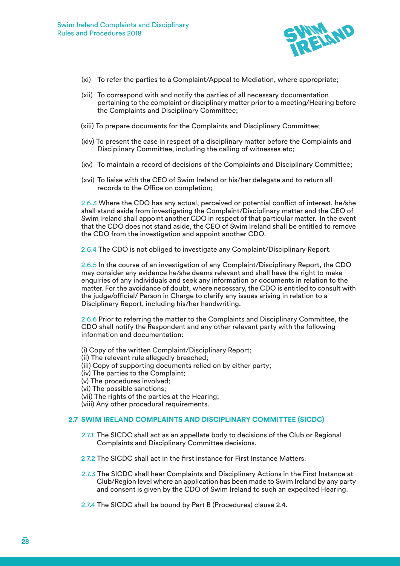

- (xi) To refer the parties to a Complaint/Appeal to Mediation, where appropriate;
- (xii) To correspond with and notify the parties of all necessary documentation pertaining to the complaint or disciplinary matter prior to a meeting/Hearing before the Complaints and Disciplinary Committee;
- (xiii) To prepare documents for the Complaints and Disciplinary Committee;
- (xiv) To present the case in respect of a disciplinary matter before the Complaints and Disciplinary Committee, including the calling of witnesses etc;
- (xv) To maintain a record of decisions of the Complaints and Disciplinary Committee;
- (xvi) To liaise with the CEO of Swim Ireland or his/her delegate and to return all records to the Office on completion;

2.6.3 Where the CDO has any actual, perceived or potential conflict of interest, he/she shall stand aside from investigating the Complaint/Disciplinary matter and the CEO of Swim Ireland shall appoint another CDO in respect of that particular matter. In the event that the CDO does not stand aside, the CEO of Swim Ireland shall be entitled to remove the CDO from the investigation and appoint another CDO.

2.6.4 The CDO is not obliged to investigate any Complaint/Disciplinary Report.

2.6.5 In the course of an investigation of any Complaint/Disciplinary Report, the CDO may consider any evidence he/she deems relevant and shall have the right to make enquiries of any individuals and seek any information or documents in relation to the matter. For the avoidance of doubt, where necessary, the CDO is entitled to consult with the judge/official/ Person in Charge to clarify any issues arising in relation to a Disciplinary Report, including his/her handwriting.

2.6.6 Prior to referring the matter to the Complaints and Disciplinary Committee, the CDO shall notify the Respondent and any other relevant party with the following information and documentation:

- (i) Copy of the written Complaint/Disciplinary Report;
- (ii) The relevant rule allegedly breached;
- (iii) Copy of supporting documents relied on by either party;
- (iv) The parties to the Complaint;
- (v) The procedures involved;
- (vi) The possible sanctions;
- (vii) The rights of the parties at the Hearing;
- (viii) Any other procedural requirements.

#### **2.7 SWIM IRELAND COMPLAINTS AND DISCIPLINARY COMMITTEE (SICDC)**

- 2.7.1 The SICDC shall act as an appellate body to decisions of the Club or Regional Complaints and Disciplinary Committee decisions.
- 2.7.2 The SICDC shall act in the first instance for First Instance Matters.
- 2.7.3 The SICDC shall hear Complaints and Disciplinary Actions in the First Instance at Club/Region level where an application has been made to Swim Ireland by any party and consent is given by the CDO of Swim Ireland to such an expedited Hearing.
- 2.7.4 The SICDC shall be bound by Part B (Procedures) clause 2.4.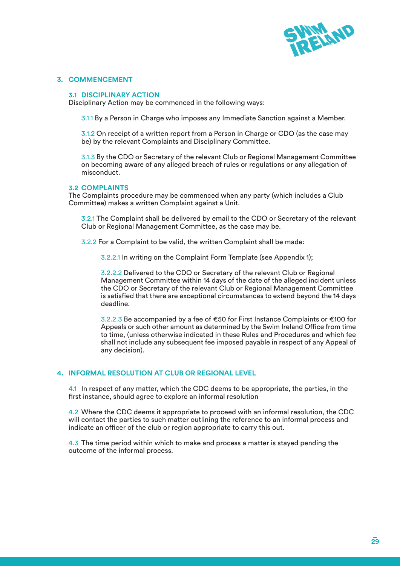

#### **3. COMMENCEMENT**

#### **3.1 DISCIPLINARY ACTION**

Disciplinary Action may be commenced in the following ways:

3.1.1 By a Person in Charge who imposes any Immediate Sanction against a Member.

3.1.2 On receipt of a written report from a Person in Charge or CDO (as the case may be) by the relevant Complaints and Disciplinary Committee.

3.1.3 By the CDO or Secretary of the relevant Club or Regional Management Committee on becoming aware of any alleged breach of rules or regulations or any allegation of misconduct.

#### **3.2 COMPLAINTS**

The Complaints procedure may be commenced when any party (which includes a Club Committee) makes a written Complaint against a Unit.

3.2.1 The Complaint shall be delivered by email to the CDO or Secretary of the relevant Club or Regional Management Committee, as the case may be.

3.2.2 For a Complaint to be valid, the written Complaint shall be made:

3.2.2.1 In writing on the Complaint Form Template (see Appendix 1);

3.2.2.2 Delivered to the CDO or Secretary of the relevant Club or Regional Management Committee within 14 days of the date of the alleged incident unless the CDO or Secretary of the relevant Club or Regional Management Committee is satisfied that there are exceptional circumstances to extend beyond the 14 days deadline.

3.2.2.3 Be accompanied by a fee of €50 for First Instance Complaints or €100 for Appeals or such other amount as determined by the Swim Ireland Office from time to time, (unless otherwise indicated in these Rules and Procedures and which fee shall not include any subsequent fee imposed payable in respect of any Appeal of any decision).

#### **4. INFORMAL RESOLUTION AT CLUB OR REGIONAL LEVEL**

4.1 In respect of any matter, which the CDC deems to be appropriate, the parties, in the first instance, should agree to explore an informal resolution

4.2 Where the CDC deems it appropriate to proceed with an informal resolution, the CDC will contact the parties to such matter outlining the reference to an informal process and indicate an officer of the club or region appropriate to carry this out.

4.3 The time period within which to make and process a matter is stayed pending the outcome of the informal process.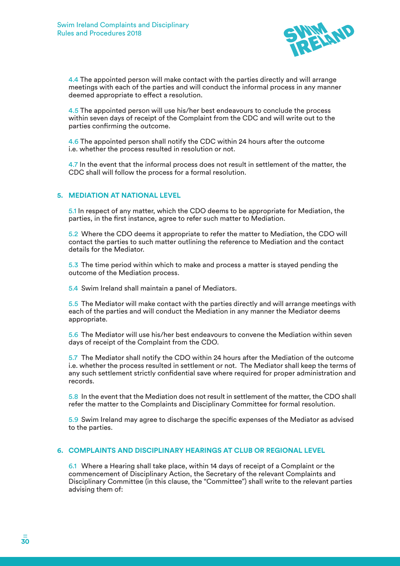

4.4 The appointed person will make contact with the parties directly and will arrange meetings with each of the parties and will conduct the informal process in any manner deemed appropriate to effect a resolution.

4.5 The appointed person will use his/her best endeavours to conclude the process within seven days of receipt of the Complaint from the CDC and will write out to the parties confirming the outcome.

4.6 The appointed person shall notify the CDC within 24 hours after the outcome i.e. whether the process resulted in resolution or not.

4.7 In the event that the informal process does not result in settlement of the matter, the CDC shall will follow the process for a formal resolution.

#### **5. MEDIATION AT NATIONAL LEVEL**

5.1 In respect of any matter, which the CDO deems to be appropriate for Mediation, the parties, in the first instance, agree to refer such matter to Mediation.

5.2 Where the CDO deems it appropriate to refer the matter to Mediation, the CDO will contact the parties to such matter outlining the reference to Mediation and the contact details for the Mediator.

5.3 The time period within which to make and process a matter is stayed pending the outcome of the Mediation process.

5.4 Swim Ireland shall maintain a panel of Mediators.

5.5 The Mediator will make contact with the parties directly and will arrange meetings with each of the parties and will conduct the Mediation in any manner the Mediator deems appropriate.

5.6 The Mediator will use his/her best endeavours to convene the Mediation within seven days of receipt of the Complaint from the CDO.

5.7 The Mediator shall notify the CDO within 24 hours after the Mediation of the outcome i.e. whether the process resulted in settlement or not. The Mediator shall keep the terms of any such settlement strictly confidential save where required for proper administration and records.

5.8 In the event that the Mediation does not result in settlement of the matter, the CDO shall refer the matter to the Complaints and Disciplinary Committee for formal resolution.

5.9 Swim Ireland may agree to discharge the specific expenses of the Mediator as advised to the parties.

#### **6. COMPLAINTS AND DISCIPLINARY HEARINGS AT CLUB OR REGIONAL LEVEL**

6.1 Where a Hearing shall take place, within 14 days of receipt of a Complaint or the commencement of Disciplinary Action, the Secretary of the relevant Complaints and Disciplinary Committee (in this clause, the "Committee") shall write to the relevant parties advising them of: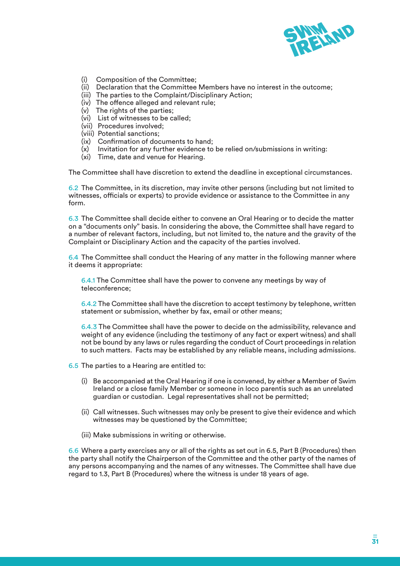

- (i) Composition of the Committee;
- (ii) Declaration that the Committee Members have no interest in the outcome;
- (iii) The parties to the Complaint/Disciplinary Action;
- (iv) The offence alleged and relevant rule;
- (v) The rights of the parties;
- (vi) List of witnesses to be called;
- (vii) Procedures involved;
- (viii) Potential sanctions;
- (ix) Confirmation of documents to hand;
- (x) Invitation for any further evidence to be relied on/submissions in writing:
- (xi) Time, date and venue for Hearing.

The Committee shall have discretion to extend the deadline in exceptional circumstances.

6.2 The Committee, in its discretion, may invite other persons (including but not limited to witnesses, officials or experts) to provide evidence or assistance to the Committee in any form.

6.3 The Committee shall decide either to convene an Oral Hearing or to decide the matter on a "documents only" basis. In considering the above, the Committee shall have regard to a number of relevant factors, including, but not limited to, the nature and the gravity of the Complaint or Disciplinary Action and the capacity of the parties involved.

6.4 The Committee shall conduct the Hearing of any matter in the following manner where it deems it appropriate:

6.4.1 The Committee shall have the power to convene any meetings by way of teleconference;

6.4.2 The Committee shall have the discretion to accept testimony by telephone, written statement or submission, whether by fax, email or other means;

6.4.3 The Committee shall have the power to decide on the admissibility, relevance and weight of any evidence (including the testimony of any fact or expert witness) and shall not be bound by any laws or rules regarding the conduct of Court proceedings in relation to such matters. Facts may be established by any reliable means, including admissions.

6.5 The parties to a Hearing are entitled to:

- (i) Be accompanied at the Oral Hearing if one is convened, by either a Member of Swim Ireland or a close family Member or someone in loco parentis such as an unrelated guardian or custodian. Legal representatives shall not be permitted;
- (ii) Call witnesses. Such witnesses may only be present to give their evidence and which witnesses may be questioned by the Committee;
- (iii) Make submissions in writing or otherwise.

6.6 Where a party exercises any or all of the rights as set out in 6.5, Part B (Procedures) then the party shall notify the Chairperson of the Committee and the other party of the names of any persons accompanying and the names of any witnesses. The Committee shall have due regard to 1.3, Part B (Procedures) where the witness is under 18 years of age.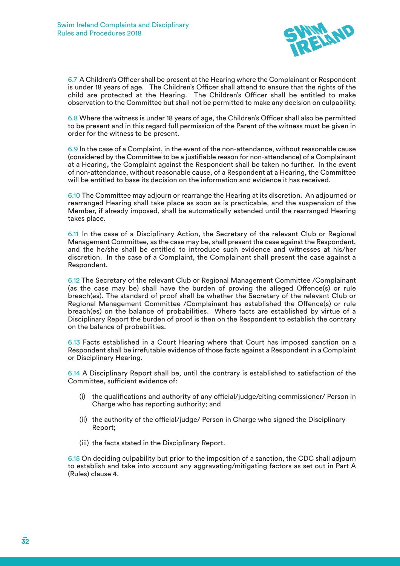

6.7 A Children's Officer shall be present at the Hearing where the Complainant or Respondent is under 18 years of age. The Children's Officer shall attend to ensure that the rights of the child are protected at the Hearing. The Children's Officer shall be entitled to make observation to the Committee but shall not be permitted to make any decision on culpability.

6.8 Where the witness is under 18 years of age, the Children's Officer shall also be permitted to be present and in this regard full permission of the Parent of the witness must be given in order for the witness to be present.

6.9 In the case of a Complaint, in the event of the non-attendance, without reasonable cause (considered by the Committee to be a justifiable reason for non-attendance) of a Complainant at a Hearing, the Complaint against the Respondent shall be taken no further. In the event of non-attendance, without reasonable cause, of a Respondent at a Hearing, the Committee will be entitled to base its decision on the information and evidence it has received.

6.10 The Committee may adjourn or rearrange the Hearing at its discretion. An adjourned or rearranged Hearing shall take place as soon as is practicable, and the suspension of the Member, if already imposed, shall be automatically extended until the rearranged Hearing takes place.

6.11 In the case of a Disciplinary Action, the Secretary of the relevant Club or Regional Management Committee, as the case may be, shall present the case against the Respondent, and the he/she shall be entitled to introduce such evidence and witnesses at his/her discretion. In the case of a Complaint, the Complainant shall present the case against a Respondent.

6.12 The Secretary of the relevant Club or Regional Management Committee /Complainant (as the case may be) shall have the burden of proving the alleged Offence(s) or rule breach(es). The standard of proof shall be whether the Secretary of the relevant Club or Regional Management Committee /Complainant has established the Offence(s) or rule breach(es) on the balance of probabilities. Where facts are established by virtue of a Disciplinary Report the burden of proof is then on the Respondent to establish the contrary on the balance of probabilities.

6.13 Facts established in a Court Hearing where that Court has imposed sanction on a Respondent shall be irrefutable evidence of those facts against a Respondent in a Complaint or Disciplinary Hearing.

6.14 A Disciplinary Report shall be, until the contrary is established to satisfaction of the Committee, sufficient evidence of:

- (i) the qualifications and authority of any official/judge/citing commissioner/ Person in Charge who has reporting authority; and
- (ii) the authority of the official/judge/ Person in Charge who signed the Disciplinary Report;
- (iii) the facts stated in the Disciplinary Report.

6.15 On deciding culpability but prior to the imposition of a sanction, the CDC shall adjourn to establish and take into account any aggravating/mitigating factors as set out in Part A (Rules) clause 4.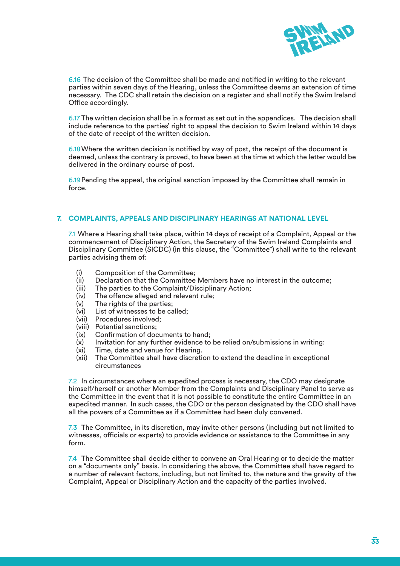

6.16 The decision of the Committee shall be made and notified in writing to the relevant parties within seven days of the Hearing, unless the Committee deems an extension of time necessary. The CDC shall retain the decision on a register and shall notify the Swim Ireland Office accordingly.

6.17 The written decision shall be in a format as set out in the appendices. The decision shall include reference to the parties' right to appeal the decision to Swim Ireland within 14 days of the date of receipt of the written decision.

6.18Where the written decision is notified by way of post, the receipt of the document is deemed, unless the contrary is proved, to have been at the time at which the letter would be delivered in the ordinary course of post.

6.19Pending the appeal, the original sanction imposed by the Committee shall remain in force.

#### **7. COMPLAINTS, APPEALS AND DISCIPLINARY HEARINGS AT NATIONAL LEVEL**

7.1 Where a Hearing shall take place, within 14 days of receipt of a Complaint, Appeal or the commencement of Disciplinary Action, the Secretary of the Swim Ireland Complaints and Disciplinary Committee (SICDC) (in this clause, the "Committee") shall write to the relevant parties advising them of:

- (i) Composition of the Committee;
- (ii) Declaration that the Committee Members have no interest in the outcome;
- (iii) The parties to the Complaint/Disciplinary Action;
- (iv) The offence alleged and relevant rule;
- (v) The rights of the parties;
- (vi) List of witnesses to be called;
- (vii) Procedures involved;
- (viii) Potential sanctions;
- (ix) Confirmation of documents to hand;
- $(x)$  Invitation for any further evidence to be relied on/submissions in writing:
- (xi) Time, date and venue for Hearing.
- (xii) The Committee shall have discretion to extend the deadline in exceptional circumstances

7.2 In circumstances where an expedited process is necessary, the CDO may designate himself/herself or another Member from the Complaints and Disciplinary Panel to serve as the Committee in the event that it is not possible to constitute the entire Committee in an expedited manner. In such cases, the CDO or the person designated by the CDO shall have all the powers of a Committee as if a Committee had been duly convened.

7.3 The Committee, in its discretion, may invite other persons (including but not limited to witnesses, officials or experts) to provide evidence or assistance to the Committee in any form.

7.4 The Committee shall decide either to convene an Oral Hearing or to decide the matter on a "documents only" basis. In considering the above, the Committee shall have regard to a number of relevant factors, including, but not limited to, the nature and the gravity of the Complaint, Appeal or Disciplinary Action and the capacity of the parties involved.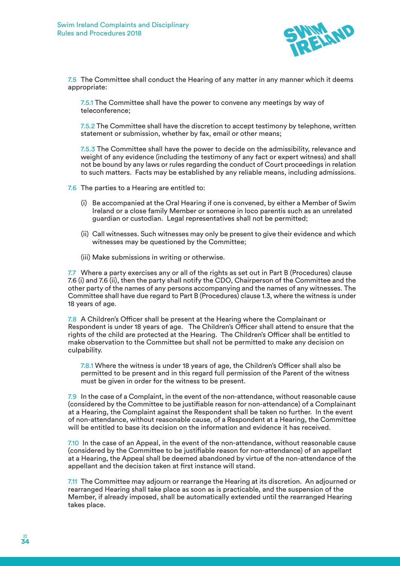

7.5 The Committee shall conduct the Hearing of any matter in any manner which it deems appropriate:

7.5.1 The Committee shall have the power to convene any meetings by way of teleconference;

7.5.2 The Committee shall have the discretion to accept testimony by telephone, written statement or submission, whether by fax, email or other means;

7.5.3 The Committee shall have the power to decide on the admissibility, relevance and weight of any evidence (including the testimony of any fact or expert witness) and shall not be bound by any laws or rules regarding the conduct of Court proceedings in relation to such matters. Facts may be established by any reliable means, including admissions.

7.6 The parties to a Hearing are entitled to:

- (i) Be accompanied at the Oral Hearing if one is convened, by either a Member of Swim Ireland or a close family Member or someone in loco parentis such as an unrelated guardian or custodian. Legal representatives shall not be permitted;
- (ii) Call witnesses. Such witnesses may only be present to give their evidence and which witnesses may be questioned by the Committee;
- (iii) Make submissions in writing or otherwise.

7.7 Where a party exercises any or all of the rights as set out in Part B (Procedures) clause 7.6 (i) and 7.6 (ii), then the party shall notify the CDO, Chairperson of the Committee and the other party of the names of any persons accompanying and the names of any witnesses. The Committee shall have due regard to Part B (Procedures) clause 1.3, where the witness is under 18 years of age.

7.8 A Children's Officer shall be present at the Hearing where the Complainant or Respondent is under 18 years of age. The Children's Officer shall attend to ensure that the rights of the child are protected at the Hearing. The Children's Officer shall be entitled to make observation to the Committee but shall not be permitted to make any decision on culpability.

7.8.1 Where the witness is under 18 years of age, the Children's Officer shall also be permitted to be present and in this regard full permission of the Parent of the witness must be given in order for the witness to be present.

7.9 In the case of a Complaint, in the event of the non-attendance, without reasonable cause (considered by the Committee to be justifiable reason for non-attendance) of a Complainant at a Hearing, the Complaint against the Respondent shall be taken no further. In the event of non-attendance, without reasonable cause, of a Respondent at a Hearing, the Committee will be entitled to base its decision on the information and evidence it has received.

7.10 In the case of an Appeal, in the event of the non-attendance, without reasonable cause (considered by the Committee to be justifiable reason for non-attendance) of an appellant at a Hearing, the Appeal shall be deemed abandoned by virtue of the non-attendance of the appellant and the decision taken at first instance will stand.

7.11 The Committee may adjourn or rearrange the Hearing at its discretion. An adjourned or rearranged Hearing shall take place as soon as is practicable, and the suspension of the Member, if already imposed, shall be automatically extended until the rearranged Hearing takes place.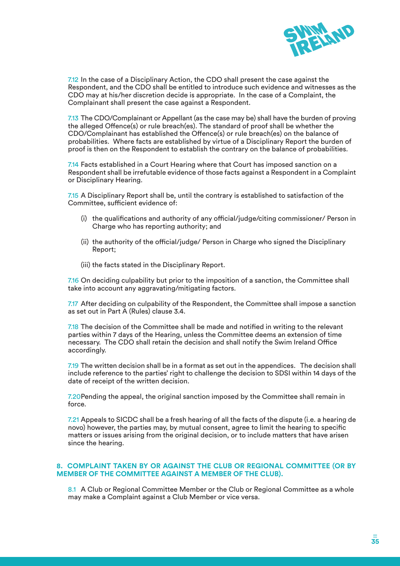

7.12 In the case of a Disciplinary Action, the CDO shall present the case against the Respondent, and the CDO shall be entitled to introduce such evidence and witnesses as the CDO may at his/her discretion decide is appropriate. In the case of a Complaint, the Complainant shall present the case against a Respondent.

7.13 The CDO/Complainant or Appellant (as the case may be) shall have the burden of proving the alleged Offence(s) or rule breach(es). The standard of proof shall be whether the CDO/Complainant has established the Offence(s) or rule breach(es) on the balance of probabilities. Where facts are established by virtue of a Disciplinary Report the burden of proof is then on the Respondent to establish the contrary on the balance of probabilities.

7.14 Facts established in a Court Hearing where that Court has imposed sanction on a Respondent shall be irrefutable evidence of those facts against a Respondent in a Complaint or Disciplinary Hearing.

7.15 A Disciplinary Report shall be, until the contrary is established to satisfaction of the Committee, sufficient evidence of:

- (i) the qualifications and authority of any official/judge/citing commissioner/ Person in Charge who has reporting authority; and
- (ii) the authority of the official/judge/ Person in Charge who signed the Disciplinary Report;
- (iii) the facts stated in the Disciplinary Report.

7.16 On deciding culpability but prior to the imposition of a sanction, the Committee shall take into account any aggravating/mitigating factors.

7.17 After deciding on culpability of the Respondent, the Committee shall impose a sanction as set out in Part A (Rules) clause 3.4.

7.18 The decision of the Committee shall be made and notified in writing to the relevant parties within 7 days of the Hearing, unless the Committee deems an extension of time necessary. The CDO shall retain the decision and shall notify the Swim Ireland Office accordingly.

7.19 The written decision shall be in a format as set out in the appendices. The decision shall include reference to the parties' right to challenge the decision to SDSI within 14 days of the date of receipt of the written decision.

7.20Pending the appeal, the original sanction imposed by the Committee shall remain in force.

7.21 Appeals to SICDC shall be a fresh hearing of all the facts of the dispute (i.e. a hearing de novo) however, the parties may, by mutual consent, agree to limit the hearing to specific matters or issues arising from the original decision, or to include matters that have arisen since the hearing.

#### **8. COMPLAINT TAKEN BY OR AGAINST THE CLUB OR REGIONAL COMMITTEE (OR BY MEMBER OF THE COMMITTEE AGAINST A MEMBER OF THE CLUB).**

8.1 A Club or Regional Committee Member or the Club or Regional Committee as a whole may make a Complaint against a Club Member or vice versa.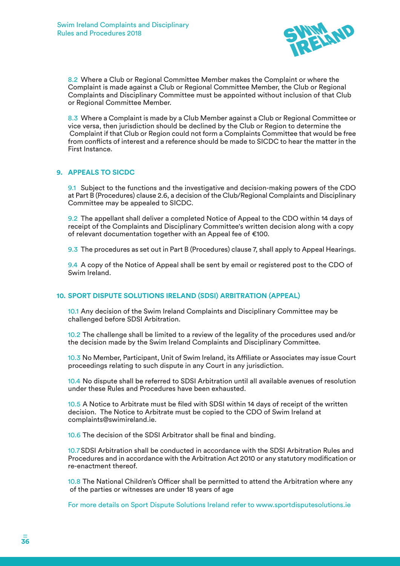

8.2 Where a Club or Regional Committee Member makes the Complaint or where the Complaint is made against a Club or Regional Committee Member, the Club or Regional Complaints and Disciplinary Committee must be appointed without inclusion of that Club or Regional Committee Member.

8.3 Where a Complaint is made by a Club Member against a Club or Regional Committee or vice versa, then jurisdiction should be declined by the Club or Region to determine the Complaint if that Club or Region could not form a Complaints Committee that would be free from conflicts of interest and a reference should be made to SICDC to hear the matter in the First Instance.

#### **9. APPEALS TO SICDC**

9.1 Subject to the functions and the investigative and decision-making powers of the CDO at Part B (Procedures) clause 2.6, a decision of the Club/Regional Complaints and Disciplinary Committee may be appealed to SICDC.

9.2 The appellant shall deliver a completed Notice of Appeal to the CDO within 14 days of receipt of the Complaints and Disciplinary Committee's written decision along with a copy of relevant documentation together with an Appeal fee of €100.

9.3 The procedures as set out in Part B (Procedures) clause 7, shall apply to Appeal Hearings.

9.4 A copy of the Notice of Appeal shall be sent by email or registered post to the CDO of Swim Ireland.

#### **10. SPORT DISPUTE SOLUTIONS IRELAND (SDSI) ARBITRATION (APPEAL)**

10.1 Any decision of the Swim Ireland Complaints and Disciplinary Committee may be challenged before SDSI Arbitration.

10.2 The challenge shall be limited to a review of the legality of the procedures used and/or the decision made by the Swim Ireland Complaints and Disciplinary Committee.

10.3 No Member, Participant, Unit of Swim Ireland, its Affiliate or Associates may issue Court proceedings relating to such dispute in any Court in any jurisdiction.

10.4 No dispute shall be referred to SDSI Arbitration until all available avenues of resolution under these Rules and Procedures have been exhausted.

10.5 A Notice to Arbitrate must be filed with SDSI within 14 days of receipt of the written decision. The Notice to Arbitrate must be copied to the CDO of Swim Ireland at complaints@swimireland.ie.

10.6 The decision of the SDSI Arbitrator shall be final and binding.

10.7SDSI Arbitration shall be conducted in accordance with the SDSI Arbitration Rules and Procedures and in accordance with the Arbitration Act 2010 or any statutory modification or re-enactment thereof.

10.8 The National Children's Officer shall be permitted to attend the Arbitration where any of the parties or witnesses are under 18 years of age

For more details on Sport Dispute Solutions Ireland refer to www.sportdisputesolutions.ie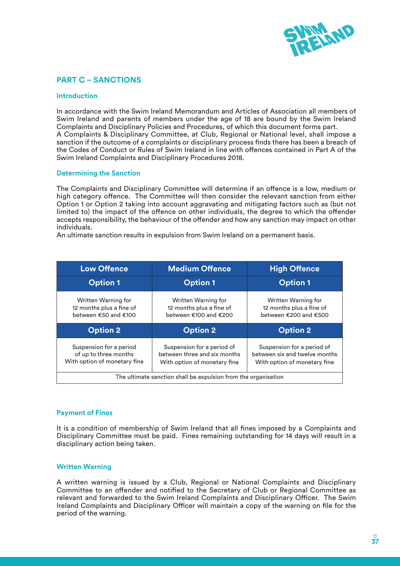

# **PART C – SANCTIONS**

#### **Introduction**

In accordance with the Swim Ireland Memorandum and Articles of Association all members of Swim Ireland and parents of members under the age of 18 are bound by the Swim Ireland Complaints and Disciplinary Policies and Procedures, of which this document forms part. A Complaints & Disciplinary Committee, at Club, Regional or National level, shall impose a sanction if the outcome of a complaints or disciplinary process finds there has been a breach of the Codes of Conduct or Rules of Swim Ireland in line with offences contained in Part A of the Swim Ireland Complaints and Disciplinary Procedures 2018.

#### **Determining the Sanction**

The Complaints and Disciplinary Committee will determine if an offence is a low, medium or high category offence. The Committee will then consider the relevant sanction from either Option 1 or Option 2 taking into account aggravating and mitigating factors such as (but not limited to) the impact of the offence on other individuals, the degree to which the offender accepts responsibility, the behaviour of the offender and how any sanction may impact on other individuals.

An ultimate sanction results in expulsion from Swim Ireland on a permanent basis.

| <b>Low Offence</b>                                                               | <b>Medium Offence</b>                                                                      | <b>High Offence</b>                                                                         |  |
|----------------------------------------------------------------------------------|--------------------------------------------------------------------------------------------|---------------------------------------------------------------------------------------------|--|
| <b>Option 1</b>                                                                  | <b>Option 1</b>                                                                            | <b>Option 1</b>                                                                             |  |
| Written Warning for<br>12 months plus a fine of<br>between €50 and €100          | Written Warning for<br>12 months plus a fine of<br>between €100 and €200                   | Written Warning for<br>12 months plus a fine of<br>between €200 and €500                    |  |
| <b>Option 2</b>                                                                  | <b>Option 2</b>                                                                            | <b>Option 2</b>                                                                             |  |
| Suspension for a period<br>of up to three months<br>With option of monetary fine | Suspension for a period of<br>between three and six months<br>With option of monetary fine | Suspension for a period of<br>between six and twelve months<br>With option of monetary fine |  |
| The ultimate sanction shall be expulsion from the organisation                   |                                                                                            |                                                                                             |  |

#### **Payment of Fines**

It is a condition of membership of Swim Ireland that all fines imposed by a Complaints and Disciplinary Committee must be paid. Fines remaining outstanding for 14 days will result in a disciplinary action being taken.

#### **Written Warning**

A written warning is issued by a Club, Regional or National Complaints and Disciplinary Committee to an offender and notified to the Secretary of Club or Regional Committee as relevant and forwarded to the Swim Ireland Complaints and Disciplinary Officer. The Swim Ireland Complaints and Disciplinary Officer will maintain a copy of the warning on file for the period of the warning.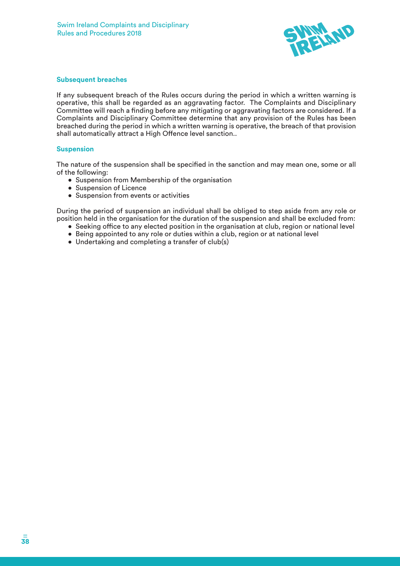

#### **Subsequent breaches**

If any subsequent breach of the Rules occurs during the period in which a written warning is operative, this shall be regarded as an aggravating factor. The Complaints and Disciplinary Committee will reach a finding before any mitigating or aggravating factors are considered. If a Complaints and Disciplinary Committee determine that any provision of the Rules has been breached during the period in which a written warning is operative, the breach of that provision shall automatically attract a High Offence level sanction..

#### **Suspension**

The nature of the suspension shall be specified in the sanction and may mean one, some or all of the following:

- Suspension from Membership of the organisation
- Suspension of Licence
- Suspension from events or activities

During the period of suspension an individual shall be obliged to step aside from any role or position held in the organisation for the duration of the suspension and shall be excluded from:

- Seeking office to any elected position in the organisation at club, region or national level
- Being appointed to any role or duties within a club, region or at national level
- Undertaking and completing a transfer of club(s)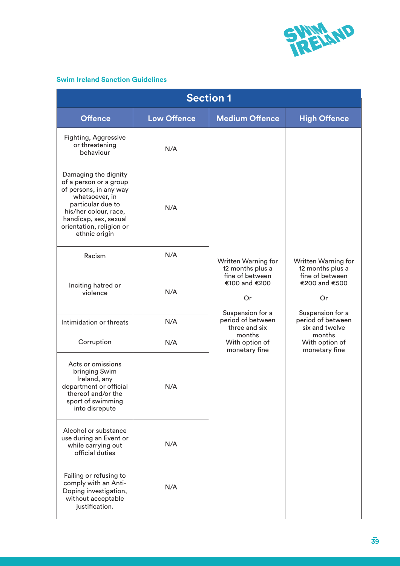

# **Swim Ireland Sanction Guidelines**

| <b>Section 1</b>                                                                                                                                                                                               |                    |                                                            |                                                            |  |
|----------------------------------------------------------------------------------------------------------------------------------------------------------------------------------------------------------------|--------------------|------------------------------------------------------------|------------------------------------------------------------|--|
| <b>Offence</b>                                                                                                                                                                                                 | <b>Low Offence</b> | <b>Medium Offence</b>                                      | <b>High Offence</b>                                        |  |
| <b>Fighting, Aggressive</b><br>or threatening<br>behaviour                                                                                                                                                     | N/A                |                                                            |                                                            |  |
| Damaging the dignity<br>of a person or a group<br>of persons, in any way<br>whatsoever, in<br>particular due to<br>his/her colour, race,<br>handicap, sex, sexual<br>orientation, religion or<br>ethnic origin | N/A                |                                                            |                                                            |  |
| Racism                                                                                                                                                                                                         | N/A                | <b>Written Warning for</b>                                 | Written Warning for                                        |  |
| Inciting hatred or<br>violence                                                                                                                                                                                 | N/A                | 12 months plus a<br>fine of between<br>€100 and €200<br>Or | 12 months plus a<br>fine of between<br>€200 and €500<br>Or |  |
| Intimidation or threats                                                                                                                                                                                        | N/A                | Suspension for a<br>period of between<br>three and six     | Suspension for a<br>period of between<br>six and twelve    |  |
| Corruption                                                                                                                                                                                                     | N/A                | months<br>With option of<br>monetary fine                  | months<br>With option of<br>monetary fine                  |  |
| Acts or omissions<br>bringing Swim<br>Ireland, any<br>department or official<br>thereof and/or the<br>sport of swimming<br>into disrepute                                                                      | N/A                |                                                            |                                                            |  |
| Alcohol or substance<br>use during an Event or<br>while carrying out<br>official duties                                                                                                                        | N/A                |                                                            |                                                            |  |
| Failing or refusing to<br>comply with an Anti-<br>Doping investigation,<br>without acceptable<br>justification.                                                                                                | N/A                |                                                            |                                                            |  |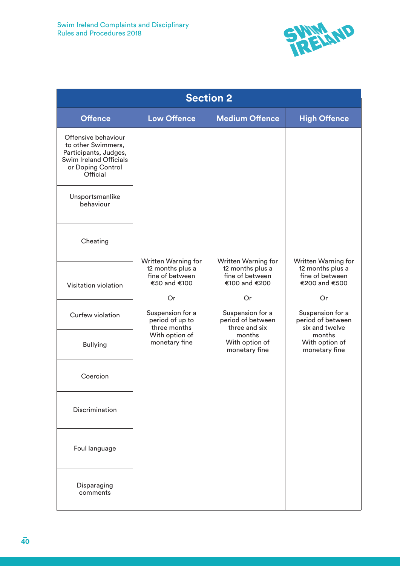

| <b>Section 2</b>                                                                                                              |                                                                            |                                                                                    |                                                                             |  |
|-------------------------------------------------------------------------------------------------------------------------------|----------------------------------------------------------------------------|------------------------------------------------------------------------------------|-----------------------------------------------------------------------------|--|
| <b>Offence</b>                                                                                                                | <b>Low Offence</b>                                                         | <b>Medium Offence</b>                                                              | <b>High Offence</b>                                                         |  |
| Offensive behaviour<br>to other Swimmers,<br>Participants, Judges,<br>Swim Ireland Officials<br>or Doping Control<br>Official |                                                                            |                                                                                    |                                                                             |  |
| Unsportsmanlike<br>behaviour                                                                                                  |                                                                            |                                                                                    |                                                                             |  |
| Cheating                                                                                                                      |                                                                            |                                                                                    |                                                                             |  |
| Visitation violation                                                                                                          | Written Warning for<br>12 months plus a<br>fine of between<br>€50 and €100 | <b>Written Warning for</b><br>12 months plus a<br>fine of between<br>€100 and €200 | Written Warning for<br>12 months plus a<br>fine of between<br>€200 and €500 |  |
| Curfew violation                                                                                                              | Or<br>Suspension for a<br>period of up to<br>three months                  | Or<br>Suspension for a<br>period of between<br>three and six                       | Or<br>Suspension for a<br>period of between<br>six and twelve               |  |
| <b>Bullying</b>                                                                                                               | With option of<br>monetary fine                                            | months<br>With option of<br>monetary fine                                          | months<br>With option of<br>monetary fine                                   |  |
| Coercion                                                                                                                      |                                                                            |                                                                                    |                                                                             |  |
| Discrimination                                                                                                                |                                                                            |                                                                                    |                                                                             |  |
| Foul language                                                                                                                 |                                                                            |                                                                                    |                                                                             |  |
| Disparaging<br>comments                                                                                                       |                                                                            |                                                                                    |                                                                             |  |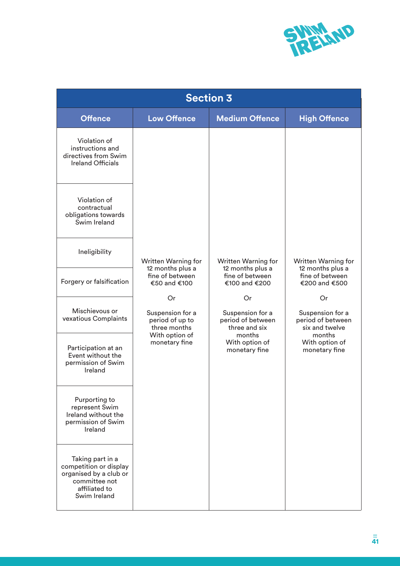

| <b>Section 3</b>                                                                                                       |                                                           |                                                              |                                                               |  |
|------------------------------------------------------------------------------------------------------------------------|-----------------------------------------------------------|--------------------------------------------------------------|---------------------------------------------------------------|--|
| <b>Offence</b>                                                                                                         | <b>Low Offence</b>                                        | <b>Medium Offence</b>                                        | <b>High Offence</b>                                           |  |
| Violation of<br>instructions and<br>directives from Swim<br><b>Ireland Officials</b>                                   |                                                           |                                                              |                                                               |  |
| Violation of<br>contractual<br>obligations towards<br>Swim Ireland                                                     |                                                           |                                                              |                                                               |  |
| Ineligibility                                                                                                          | <b>Written Warning for</b><br>12 months plus a            | <b>Written Warning for</b><br>12 months plus a               | Written Warning for<br>12 months plus a                       |  |
| Forgery or falsification                                                                                               | fine of between<br>€50 and €100                           | fine of between<br>€100 and €200                             | fine of between<br>€200 and €500                              |  |
| Mischievous or<br>vexatious Complaints                                                                                 | Or<br>Suspension for a<br>period of up to<br>three months | Or<br>Suspension for a<br>period of between<br>three and six | Or<br>Suspension for a<br>period of between<br>six and twelve |  |
| Participation at an<br>Event without the<br>permission of Swim<br>Ireland                                              | With option of<br>monetary fine                           | months<br>With option of<br>monetary fine                    | months<br>With option of<br>monetary fine                     |  |
| Purporting to<br>represent Swim<br>Ireland without the<br>permission of Swim<br>Ireland                                |                                                           |                                                              |                                                               |  |
| Taking part in a<br>competition or display<br>organised by a club or<br>committee not<br>affiliated to<br>Swim Ireland |                                                           |                                                              |                                                               |  |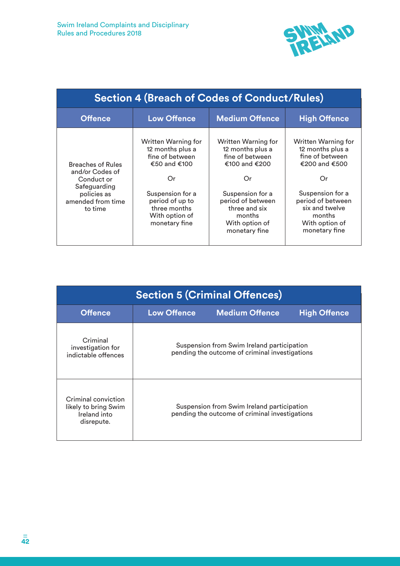

| <b>Section 4 (Breach of Codes of Conduct/Rules)</b>                                                                      |                                                                                                                                                                            |                                                                                                                                                                                          |                                                                                                                                                                                           |
|--------------------------------------------------------------------------------------------------------------------------|----------------------------------------------------------------------------------------------------------------------------------------------------------------------------|------------------------------------------------------------------------------------------------------------------------------------------------------------------------------------------|-------------------------------------------------------------------------------------------------------------------------------------------------------------------------------------------|
| <b>Offence</b>                                                                                                           | <b>Low Offence</b>                                                                                                                                                         | <b>Medium Offence</b>                                                                                                                                                                    | <b>High Offence</b>                                                                                                                                                                       |
| <b>Breaches of Rules</b><br>and/or Codes of<br>Conduct or<br>Safeguarding<br>policies as<br>amended from time<br>to time | Written Warning for<br>12 months plus a<br>fine of between<br>€50 and €100<br>Or<br>Suspension for a<br>period of up to<br>three months<br>With option of<br>monetary fine | Written Warning for<br>12 months plus a<br>fine of between<br>€100 and €200<br>Or<br>Suspension for a<br>period of between<br>three and six<br>months<br>With option of<br>monetary fine | Written Warning for<br>12 months plus a<br>fine of between<br>€200 and €500<br>Or<br>Suspension for a<br>period of between<br>six and twelve<br>months<br>With option of<br>monetary fine |

| <b>Section 5 (Criminal Offences)</b>                                      |                    |                                                                                              |                     |  |
|---------------------------------------------------------------------------|--------------------|----------------------------------------------------------------------------------------------|---------------------|--|
| <b>Offence</b>                                                            | <b>Low Offence</b> | <b>Medium Offence</b>                                                                        | <b>High Offence</b> |  |
| Criminal<br>investigation for<br>indictable offences                      |                    | Suspension from Swim Ireland participation<br>pending the outcome of criminal investigations |                     |  |
| Criminal conviction<br>likely to bring Swim<br>Ireland into<br>disrepute. |                    | Suspension from Swim Ireland participation<br>pending the outcome of criminal investigations |                     |  |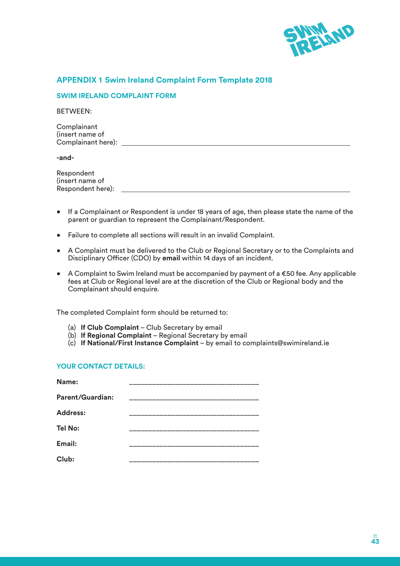

# **APPENDIX 1 Swim Ireland Complaint Form Template 2018**

#### **SWIM IRELAND COMPLAINT FORM**

BETWEEN:

Complainant (insert name of Complainant here):

**-and-**

Respondent (insert name of Respondent here):

- If a Complainant or Respondent is under 18 years of age, then please state the name of the parent or guardian to represent the Complainant/Respondent.
- Failure to complete all sections will result in an invalid Complaint.
- A Complaint must be delivered to the Club or Regional Secretary or to the Complaints and Disciplinary Officer (CDO) by **email** within 14 days of an incident.
- A Complaint to Swim Ireland must be accompanied by payment of a €50 fee. Any applicable fees at Club or Regional level are at the discretion of the Club or Regional body and the Complainant should enquire.

The completed Complaint form should be returned to:

- (a) **If Club Complaint** Club Secretary by email
- (b) **If Regional Complaint** Regional Secretary by email
- (c) **If National/First Instance Complaint** by email to complaints@swimireland.ie

#### **YOUR CONTACT DETAILS:**

| Name:                   |  |
|-------------------------|--|
| <b>Parent/Guardian:</b> |  |
| <b>Address:</b>         |  |
| <b>Tel No:</b>          |  |
| Email:                  |  |
| Club:                   |  |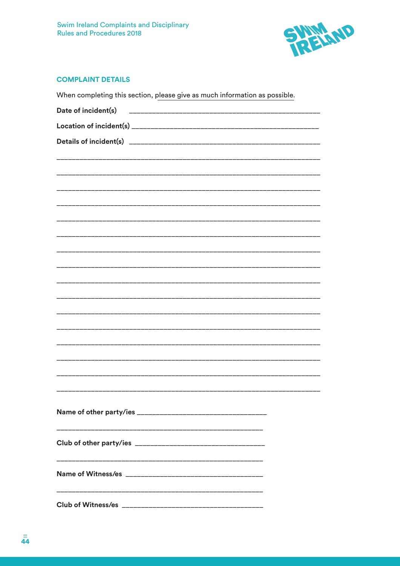

# **COMPLAINT DETAILS**

| When completing this section, please give as much information as possible. |  |
|----------------------------------------------------------------------------|--|
| Date of incident(s)                                                        |  |
|                                                                            |  |
|                                                                            |  |
|                                                                            |  |
|                                                                            |  |
|                                                                            |  |
|                                                                            |  |
|                                                                            |  |
|                                                                            |  |
|                                                                            |  |
|                                                                            |  |
|                                                                            |  |
|                                                                            |  |
|                                                                            |  |
|                                                                            |  |
|                                                                            |  |
|                                                                            |  |
|                                                                            |  |
|                                                                            |  |
|                                                                            |  |
|                                                                            |  |
|                                                                            |  |
|                                                                            |  |
|                                                                            |  |
|                                                                            |  |
|                                                                            |  |
|                                                                            |  |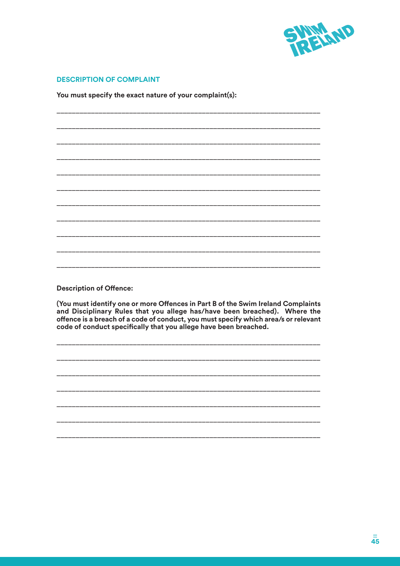

### **DESCRIPTION OF COMPLAINT**

You must specify the exact nature of your complaint(s):

**Description of Offence:** 

(You must identify one or more Offences in Part B of the Swim Ireland Complaints and Disciplinary Rules that you allege has/have been breached). Where the offence is a breach of a code of conduct, you must specify which area/s or relevant code of conduct specifically that you allege have been breached.

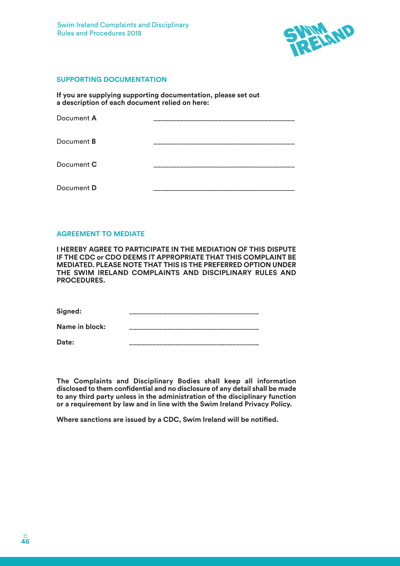

#### **SUPPORTING DOCUMENTATION**

**If you are supplying supporting documentation, please set out a description of each document relied on here:**

| Document A |  |
|------------|--|
| Document B |  |
| Document C |  |
| Document D |  |

#### **AGREEMENT TO MEDIATE**

**I HEREBY AGREE TO PARTICIPATE IN THE MEDIATION OF THIS DISPUTE IF THE CDC or CDO DEEMS IT APPROPRIATE THAT THIS COMPLAINT BE MEDIATED. PLEASE NOTE THAT THIS IS THE PREFERRED OPTION UNDER THE SWIM IRELAND COMPLAINTS AND DISCIPLINARY RULES AND PROCEDURES.**

Signed:

Name in block:

**Date:** \_\_\_\_\_\_\_\_\_\_\_\_\_\_\_\_\_\_\_\_\_\_\_\_\_\_\_\_\_\_\_\_\_\_

**The Complaints and Disciplinary Bodies shall keep all information disclosed to them confidential and no disclosure of any detail shall be made to any third party unless in the administration of the disciplinary function or a requirement by law and in line with the Swim Ireland Privacy Policy.**

**Where sanctions are issued by a CDC, Swim Ireland will be notified.**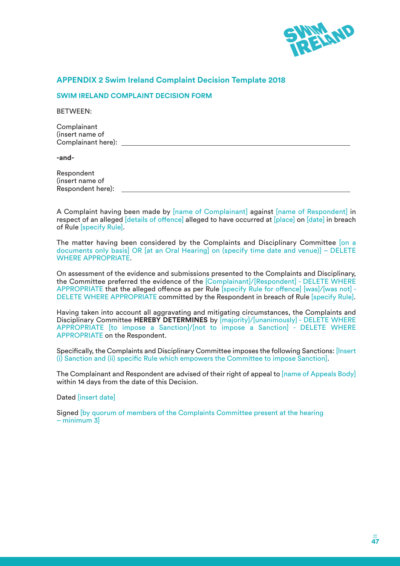

# **APPENDIX 2 Swim Ireland Complaint Decision Template 2018**

#### **SWIM IRELAND COMPLAINT DECISION FORM**

BETWEEN:

Complainant (insert name of Complainant here):

**-and-**

Respondent (insert name of Respondent here):

A Complaint having been made by [name of Complainant] against [name of Respondent] in respect of an alleged [details of offence] alleged to have occurred at [place] on [date] in breach of Rule [specify Rule].

The matter having been considered by the Complaints and Disciplinary Committee [on a documents only basis] OR [at an Oral Hearing] on (specify time date and venue)] – DELETE WHERE APPROPRIATE.

On assessment of the evidence and submissions presented to the Complaints and Disciplinary, the Committee preferred the evidence of the [Complainant]/[Respondent] - DELETE WHERE APPROPRIATE that the alleged offence as per Rule [specify Rule for offence] [was]/[was not] - DELETE WHERE APPROPRIATE committed by the Respondent in breach of Rule [specify Rule].

Having taken into account all aggravating and mitigating circumstances, the Complaints and Disciplinary Committee **HEREBY DETERMINES** by [majority]/[unanimously] - DELETE WHERE APPROPRIATE [to impose a Sanction]/[not to impose a Sanction] - DELETE WHERE APPROPRIATE on the Respondent.

Specifically, the Complaints and Disciplinary Committee imposes the following Sanctions: [Insert (i) Sanction and (ii) specific Rule which empowers the Committee to impose Sanction].

The Complainant and Respondent are advised of their right of appeal to [name of Appeals Body] within 14 days from the date of this Decision.

Dated [insert date]

Signed [by quorum of members of the Complaints Committee present at the hearing – minimum 3]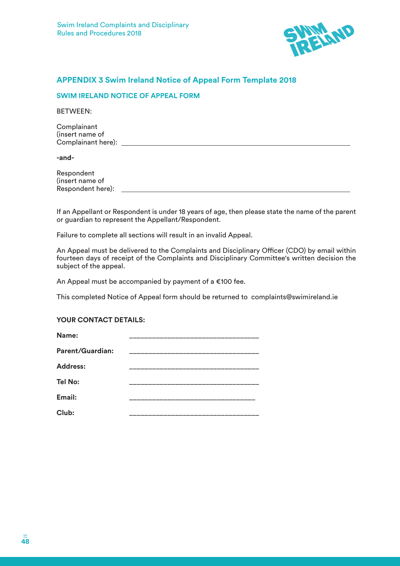

# **APPENDIX 3 Swim Ireland Notice of Appeal Form Template 2018**

#### **SWIM IRELAND NOTICE OF APPEAL FORM**

BETWEEN:

**Complainant** (insert name of Complainant here):

**-and-**

Respondent (insert name of Respondent here):

If an Appellant or Respondent is under 18 years of age, then please state the name of the parent or guardian to represent the Appellant/Respondent.

Failure to complete all sections will result in an invalid Appeal.

An Appeal must be delivered to the Complaints and Disciplinary Officer (CDO) by email within fourteen days of receipt of the Complaints and Disciplinary Committee's written decision the subject of the appeal.

An Appeal must be accompanied by payment of a €100 fee.

This completed Notice of Appeal form should be returned to complaints@swimireland.ie

### **YOUR CONTACT DETAILS:**

| Name:            |  |
|------------------|--|
| Parent/Guardian: |  |
| <b>Address:</b>  |  |
| <b>Tel No:</b>   |  |
| Email:           |  |
| Club:            |  |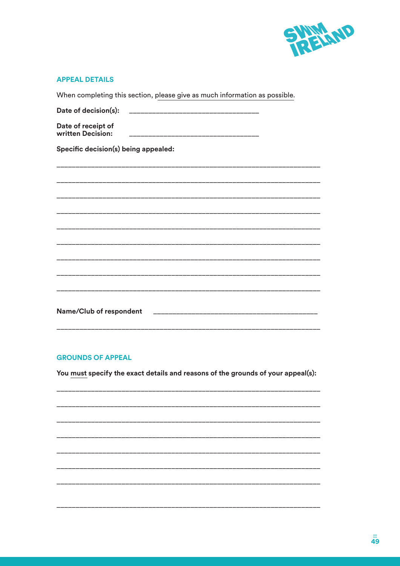

#### **APPEAL DETAILS**

When completing this section, please give as much information as possible.

| Date of decision(s):<br>___________________________________ |
|-------------------------------------------------------------|
| Date of receipt of<br>written Decision:                     |
| Specific decision(s) being appealed:                        |
|                                                             |
|                                                             |
|                                                             |
|                                                             |
|                                                             |
|                                                             |
|                                                             |
|                                                             |
|                                                             |
| <b>Name/Club of respondent</b>                              |

# **GROUNDS OF APPEAL**

You must specify the exact details and reasons of the grounds of your appeal(s):

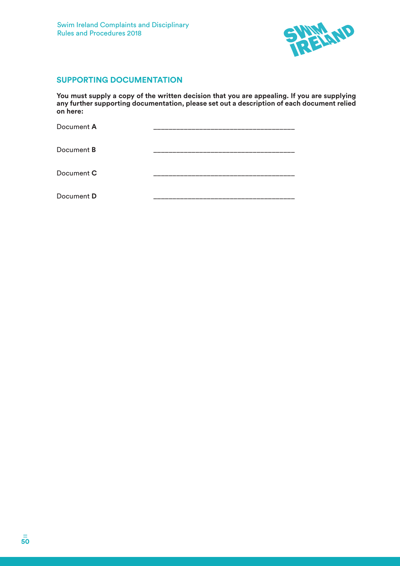

# **SUPPORTING DOCUMENTATION**

**You must supply a copy of the written decision that you are appealing. If you are supplying any further supporting documentation, please set out a description of each document relied on here:**

| Document A        |  |
|-------------------|--|
| Document <b>B</b> |  |
| Document C        |  |
| Document D        |  |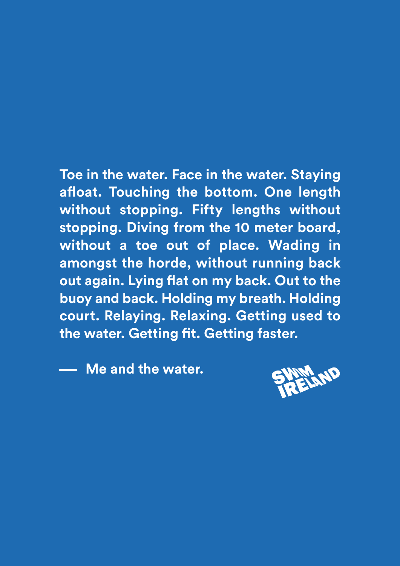**Toe in the water. Face in the water. Staying afloat. Touching the bottom. One length without stopping. Fifty lengths without stopping. Diving from the 10 meter board, without a toe out of place. Wading in amongst the horde, without running back out again. Lying flat on my back. Out to the buoy and back. Holding my breath. Holding court. Relaying. Relaxing. Getting used to the water. Getting fit. Getting faster.**

**Me and the water.**